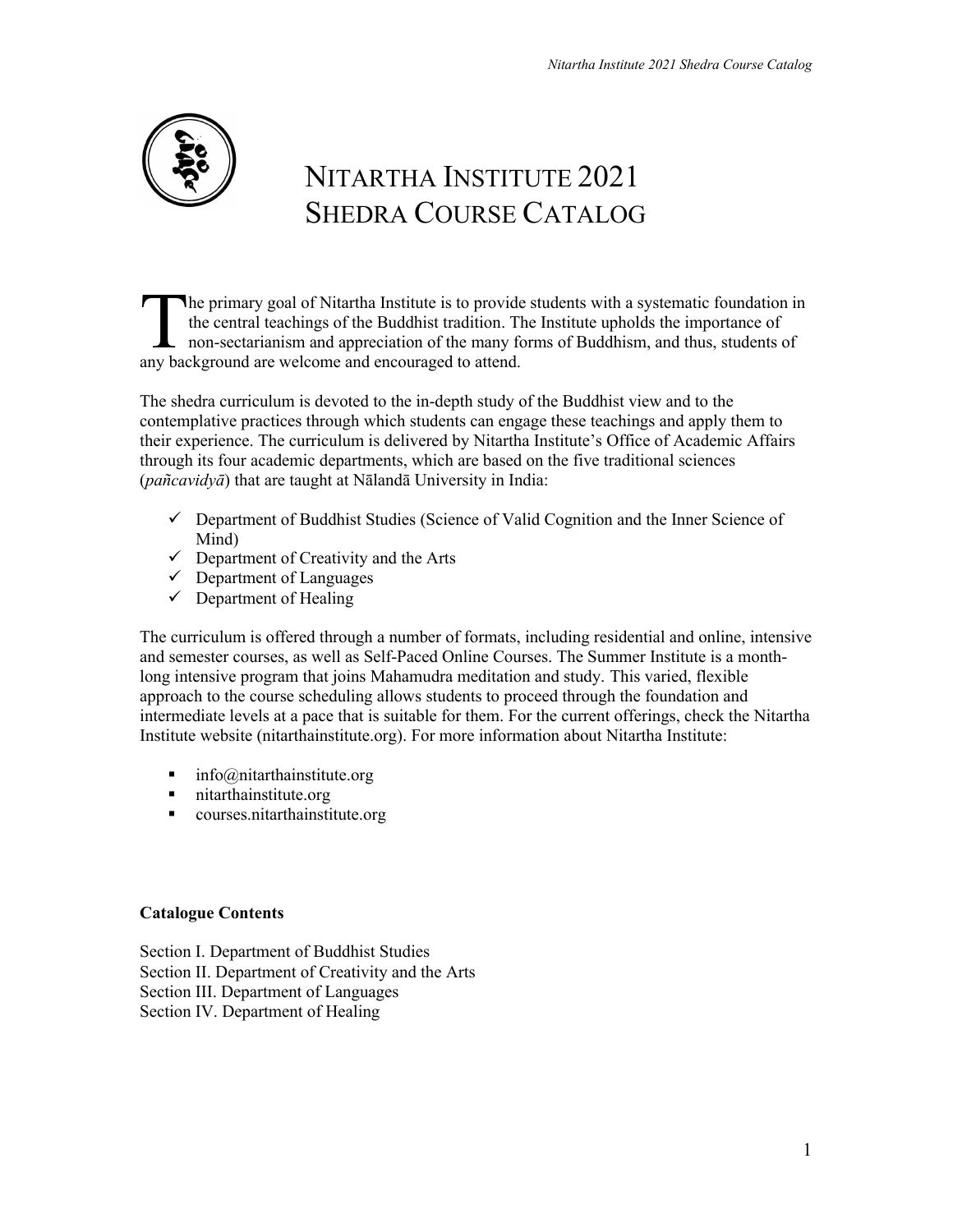

# NITARTHA INSTITUTE 2021 SHEDRA COURSE CATALOG

he primary goal of Nitartha Institute is to provide students with a systematic foundation in the central teachings of the Buddhist tradition. The Institute upholds the importance of non-sectarianism and appreciation of the many forms of Buddhism, and thus, students of The primary goal of Nitartha Institute is to provide the central teachings of the Buddhist tradition. Then sectarianism and appreciation of the many fany background are welcome and encouraged to attend.

The shedra curriculum is devoted to the in-depth study of the Buddhist view and to the contemplative practices through which students can engage these teachings and apply them to their experience. The curriculum is delivered by Nitartha Institute's Office of Academic Affairs through its four academic departments, which are based on the five traditional sciences (*pañcavidyā*) that are taught at Nālandā University in India:

- $\checkmark$  Department of Buddhist Studies (Science of Valid Cognition and the Inner Science of Mind)
- $\checkmark$  Department of Creativity and the Arts
- $\checkmark$  Department of Languages
- $\checkmark$  Department of Healing

The curriculum is offered through a number of formats, including residential and online, intensive and semester courses, as well as Self-Paced Online Courses. The Summer Institute is a monthlong intensive program that joins Mahamudra meditation and study. This varied, flexible approach to the course scheduling allows students to proceed through the foundation and intermediate levels at a pace that is suitable for them. For the current offerings, check the Nitartha Institute website (nitarthainstitute.org). For more information about Nitartha Institute:

- info@nitarthainstitute.org
- nitarthainstitute.org
- courses.nitarthainstitute.org

# **Catalogue Contents**

Section I. Department of Buddhist Studies Section II. Department of Creativity and the Arts Section III. Department of Languages Section IV. Department of Healing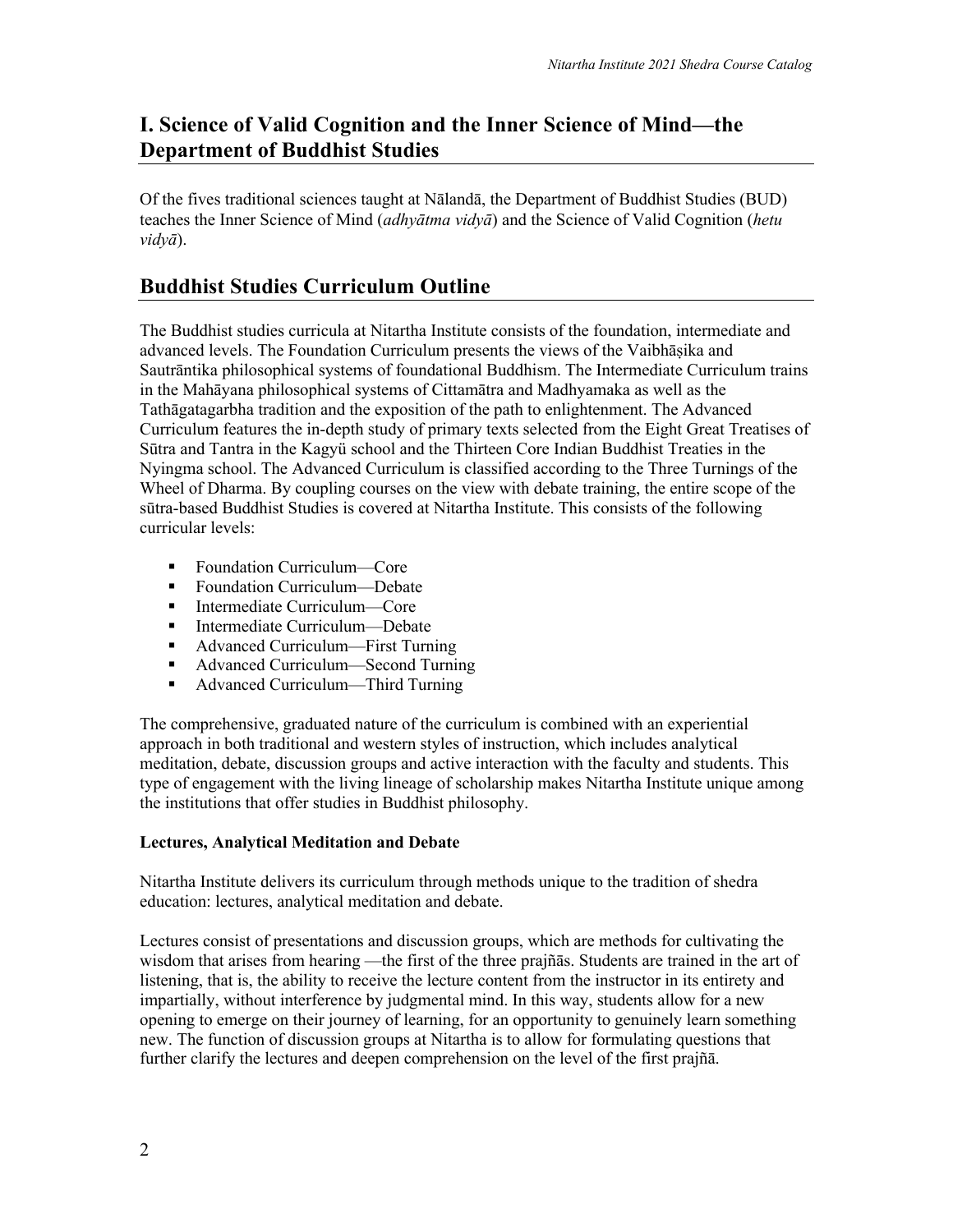# **I. Science of Valid Cognition and the Inner Science of Mind—the Department of Buddhist Studies**

Of the fives traditional sciences taught at Nālandā, the Department of Buddhist Studies (BUD) teaches the Inner Science of Mind (*adhyātma vidyā*) and the Science of Valid Cognition (*hetu vidyā*).

# **Buddhist Studies Curriculum Outline**

The Buddhist studies curricula at Nitartha Institute consists of the foundation, intermediate and advanced levels. The Foundation Curriculum presents the views of the Vaibhāṣika and Sautrāntika philosophical systems of foundational Buddhism. The Intermediate Curriculum trains in the Mahāyana philosophical systems of Cittamātra and Madhyamaka as well as the Tathāgatagarbha tradition and the exposition of the path to enlightenment. The Advanced Curriculum features the in-depth study of primary texts selected from the Eight Great Treatises of Sūtra and Tantra in the Kagyü school and the Thirteen Core Indian Buddhist Treaties in the Nyingma school. The Advanced Curriculum is classified according to the Three Turnings of the Wheel of Dharma. By coupling courses on the view with debate training, the entire scope of the sūtra-based Buddhist Studies is covered at Nitartha Institute. This consists of the following curricular levels:

- Foundation Curriculum—Core
- Foundation Curriculum—Debate
- Intermediate Curriculum—Core
- Intermediate Curriculum—Debate
- Advanced Curriculum—First Turning
- Advanced Curriculum—Second Turning
- Advanced Curriculum—Third Turning

The comprehensive, graduated nature of the curriculum is combined with an experiential approach in both traditional and western styles of instruction, which includes analytical meditation, debate, discussion groups and active interaction with the faculty and students. This type of engagement with the living lineage of scholarship makes Nitartha Institute unique among the institutions that offer studies in Buddhist philosophy.

# **Lectures, Analytical Meditation and Debate**

Nitartha Institute delivers its curriculum through methods unique to the tradition of shedra education: lectures, analytical meditation and debate.

Lectures consist of presentations and discussion groups, which are methods for cultivating the wisdom that arises from hearing —the first of the three prajñās. Students are trained in the art of listening, that is, the ability to receive the lecture content from the instructor in its entirety and impartially, without interference by judgmental mind. In this way, students allow for a new opening to emerge on their journey of learning, for an opportunity to genuinely learn something new. The function of discussion groups at Nitartha is to allow for formulating questions that further clarify the lectures and deepen comprehension on the level of the first prajñā.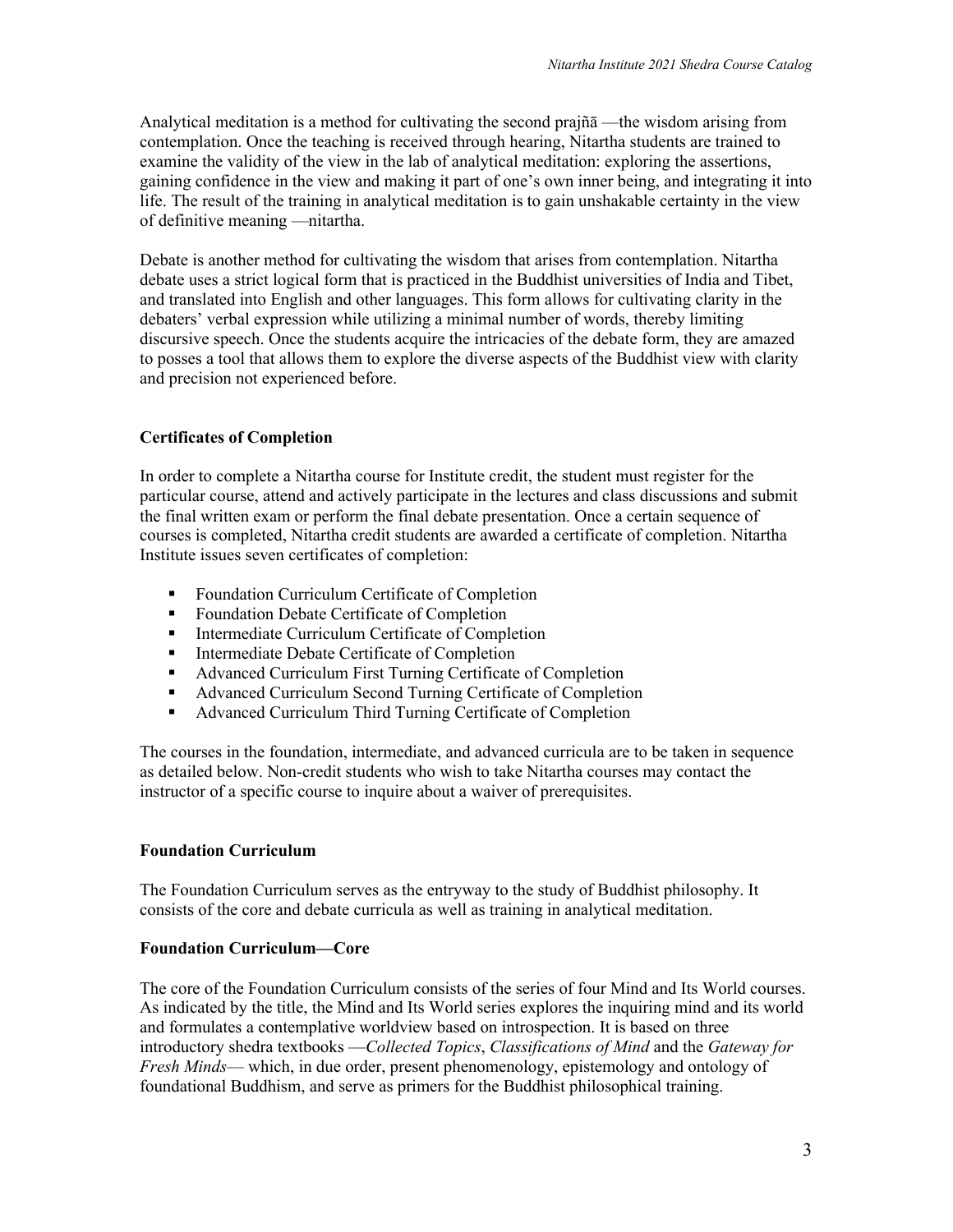Analytical meditation is a method for cultivating the second prajñā —the wisdom arising from contemplation. Once the teaching is received through hearing, Nitartha students are trained to examine the validity of the view in the lab of analytical meditation: exploring the assertions, gaining confidence in the view and making it part of one's own inner being, and integrating it into life. The result of the training in analytical meditation is to gain unshakable certainty in the view of definitive meaning —nitartha.

Debate is another method for cultivating the wisdom that arises from contemplation. Nitartha debate uses a strict logical form that is practiced in the Buddhist universities of India and Tibet, and translated into English and other languages. This form allows for cultivating clarity in the debaters' verbal expression while utilizing a minimal number of words, thereby limiting discursive speech. Once the students acquire the intricacies of the debate form, they are amazed to posses a tool that allows them to explore the diverse aspects of the Buddhist view with clarity and precision not experienced before.

# **Certificates of Completion**

In order to complete a Nitartha course for Institute credit, the student must register for the particular course, attend and actively participate in the lectures and class discussions and submit the final written exam or perform the final debate presentation. Once a certain sequence of courses is completed, Nitartha credit students are awarded a certificate of completion. Nitartha Institute issues seven certificates of completion:

- Foundation Curriculum Certificate of Completion
- Foundation Debate Certificate of Completion
- Intermediate Curriculum Certificate of Completion
- Intermediate Debate Certificate of Completion
- Advanced Curriculum First Turning Certificate of Completion
- Advanced Curriculum Second Turning Certificate of Completion
- Advanced Curriculum Third Turning Certificate of Completion

The courses in the foundation, intermediate, and advanced curricula are to be taken in sequence as detailed below. Non-credit students who wish to take Nitartha courses may contact the instructor of a specific course to inquire about a waiver of prerequisites.

#### **Foundation Curriculum**

The Foundation Curriculum serves as the entryway to the study of Buddhist philosophy. It consists of the core and debate curricula as well as training in analytical meditation.

#### **Foundation Curriculum—Core**

The core of the Foundation Curriculum consists of the series of four Mind and Its World courses. As indicated by the title, the Mind and Its World series explores the inquiring mind and its world and formulates a contemplative worldview based on introspection. It is based on three introductory shedra textbooks —*Collected Topics*, *Classifications of Mind* and the *Gateway for Fresh Minds*— which, in due order, present phenomenology, epistemology and ontology of foundational Buddhism, and serve as primers for the Buddhist philosophical training.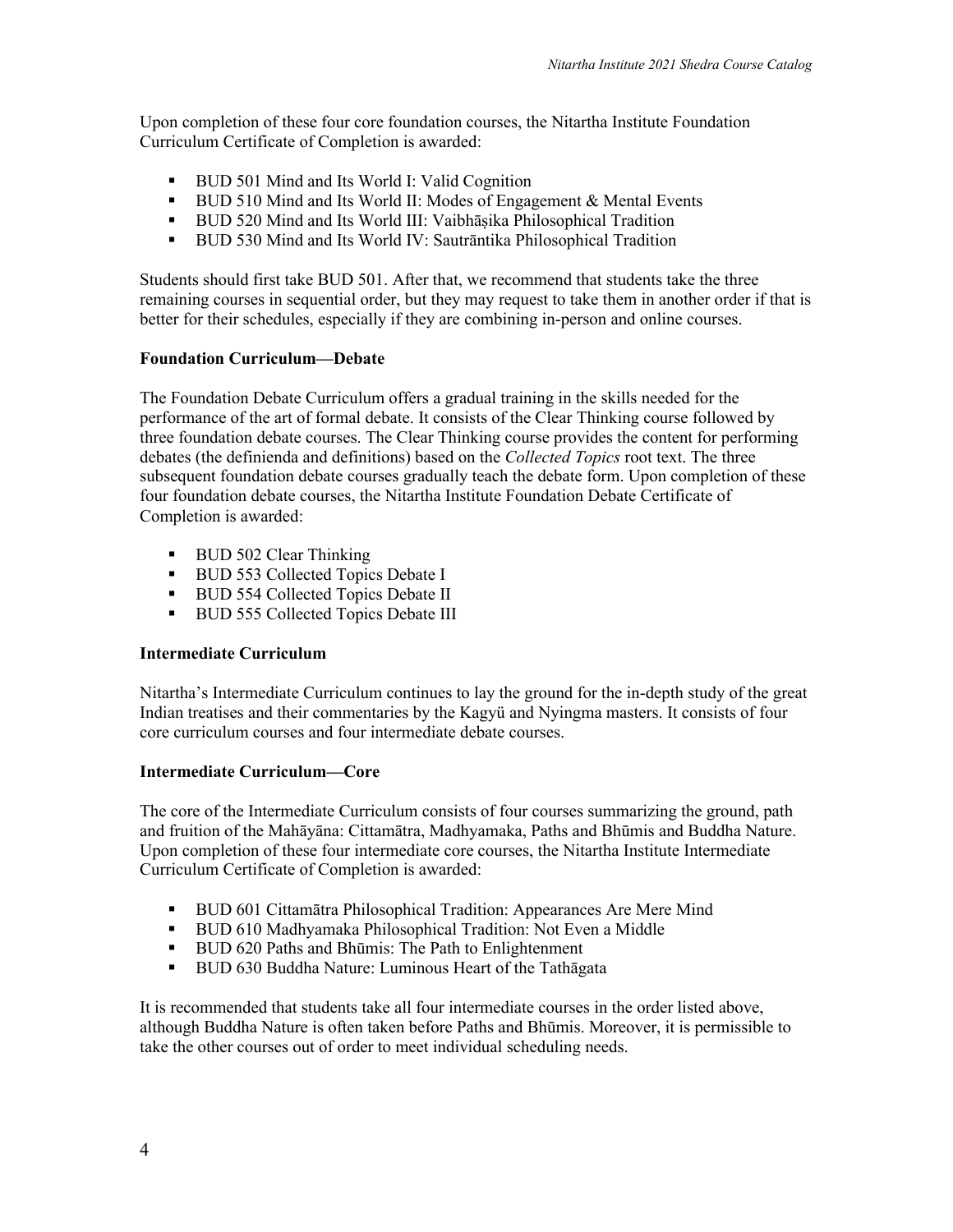Upon completion of these four core foundation courses, the Nitartha Institute Foundation Curriculum Certificate of Completion is awarded:

- BUD 501 Mind and Its World I: Valid Cognition
- BUD 510 Mind and Its World II: Modes of Engagement & Mental Events
- § BUD 520 Mind and Its World III: Vaibhāṣika Philosophical Tradition
- § BUD 530 Mind and Its World IV: Sautrāntika Philosophical Tradition

Students should first take BUD 501. After that, we recommend that students take the three remaining courses in sequential order, but they may request to take them in another order if that is better for their schedules, especially if they are combining in-person and online courses.

#### **Foundation Curriculum—Debate**

The Foundation Debate Curriculum offers a gradual training in the skills needed for the performance of the art of formal debate. It consists of the Clear Thinking course followed by three foundation debate courses. The Clear Thinking course provides the content for performing debates (the definienda and definitions) based on the *Collected Topics* root text. The three subsequent foundation debate courses gradually teach the debate form. Upon completion of these four foundation debate courses, the Nitartha Institute Foundation Debate Certificate of Completion is awarded:

- BUD 502 Clear Thinking
- BUD 553 Collected Topics Debate I
- BUD 554 Collected Topics Debate II
- **BUD 555 Collected Topics Debate III**

#### **Intermediate Curriculum**

Nitartha's Intermediate Curriculum continues to lay the ground for the in-depth study of the great Indian treatises and their commentaries by the Kagyü and Nyingma masters. It consists of four core curriculum courses and four intermediate debate courses.

#### **Intermediate Curriculum—Core**

The core of the Intermediate Curriculum consists of four courses summarizing the ground, path and fruition of the Mahāyāna: Cittamātra, Madhyamaka, Paths and Bhūmis and Buddha Nature. Upon completion of these four intermediate core courses, the Nitartha Institute Intermediate Curriculum Certificate of Completion is awarded:

- § BUD 601 Cittamātra Philosophical Tradition: Appearances Are Mere Mind
- BUD 610 Madhyamaka Philosophical Tradition: Not Even a Middle
- BUD 620 Paths and Bhūmis: The Path to Enlightenment
- § BUD 630 Buddha Nature: Luminous Heart of the Tathāgata

It is recommended that students take all four intermediate courses in the order listed above, although Buddha Nature is often taken before Paths and Bhūmis. Moreover, it is permissible to take the other courses out of order to meet individual scheduling needs.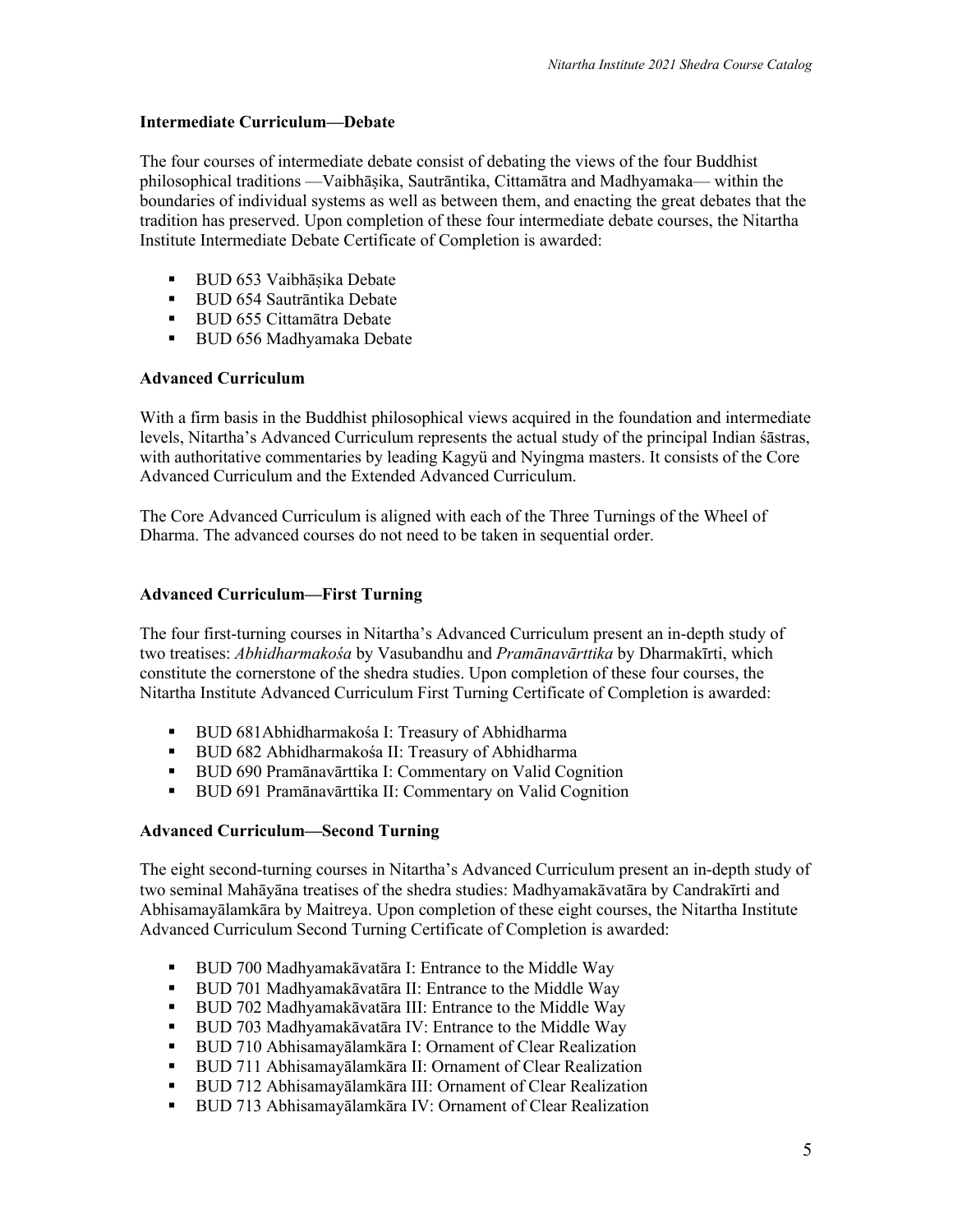#### **Intermediate Curriculum—Debate**

The four courses of intermediate debate consist of debating the views of the four Buddhist philosophical traditions —Vaibhāṣika, Sautrāntika, Cittamātra and Madhyamaka— within the boundaries of individual systems as well as between them, and enacting the great debates that the tradition has preserved. Upon completion of these four intermediate debate courses, the Nitartha Institute Intermediate Debate Certificate of Completion is awarded:

- BUD 653 Vaibhāṣika Debate
- BUD 654 Sautrāntika Debate
- BUD 655 Cittamātra Debate
- BUD 656 Madhyamaka Debate

# **Advanced Curriculum**

With a firm basis in the Buddhist philosophical views acquired in the foundation and intermediate levels, Nitartha's Advanced Curriculum represents the actual study of the principal Indian śāstras, with authoritative commentaries by leading Kagyü and Nyingma masters. It consists of the Core Advanced Curriculum and the Extended Advanced Curriculum.

The Core Advanced Curriculum is aligned with each of the Three Turnings of the Wheel of Dharma. The advanced courses do not need to be taken in sequential order.

# **Advanced Curriculum—First Turning**

The four first-turning courses in Nitartha's Advanced Curriculum present an in-depth study of two treatises: *Abhidharmakośa* by Vasubandhu and *Pramānavārttika* by Dharmakīrti, which constitute the cornerstone of the shedra studies. Upon completion of these four courses, the Nitartha Institute Advanced Curriculum First Turning Certificate of Completion is awarded:

- BUD 681Abhidharmakośa I: Treasury of Abhidharma
- BUD 682 Abhidharmakośa II: Treasury of Abhidharma
- BUD 690 Pramānavārttika I: Commentary on Valid Cognition
- BUD 691 Pramānavārttika II: Commentary on Valid Cognition

# **Advanced Curriculum—Second Turning**

The eight second-turning courses in Nitartha's Advanced Curriculum present an in-depth study of two seminal Mahāyāna treatises of the shedra studies: Madhyamakāvatāra by Candrakīrti and Abhisamayālamkāra by Maitreya. Upon completion of these eight courses, the Nitartha Institute Advanced Curriculum Second Turning Certificate of Completion is awarded:

- BUD 700 Madhyamakāvatāra I: Entrance to the Middle Way
- BUD 701 Madhyamakāvatāra II: Entrance to the Middle Way
- BUD 702 Madhyamakāvatāra III: Entrance to the Middle Way
- § BUD 703 Madhyamakāvatāra IV: Entrance to the Middle Way
- BUD 710 Abhisamayālamkāra I: Ornament of Clear Realization
- **•** BUD 711 Abhisamayālamkāra II: Ornament of Clear Realization
- § BUD 712 Abhisamayālamkāra III: Ornament of Clear Realization
- BUD 713 Abhisamayālamkāra IV: Ornament of Clear Realization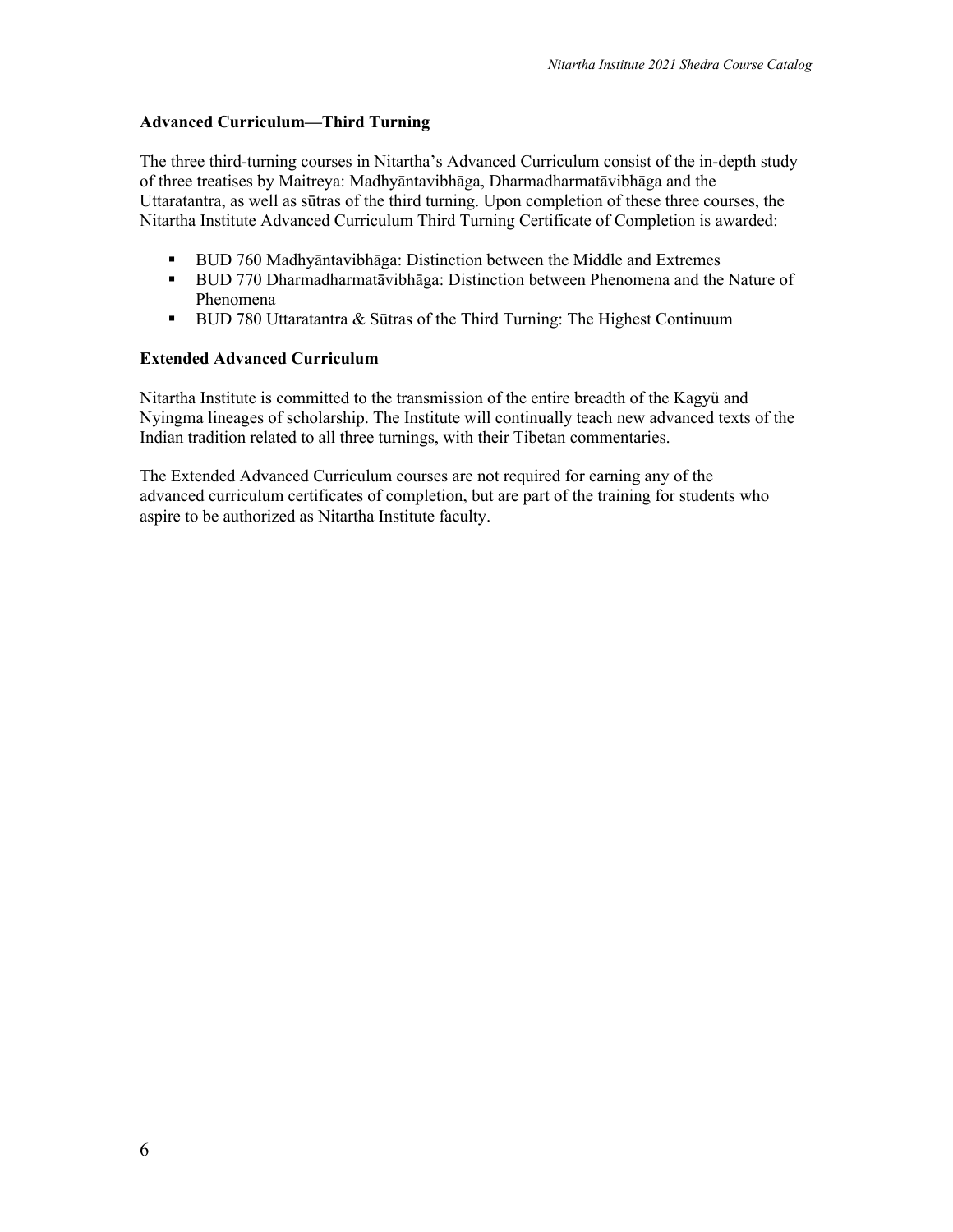#### **Advanced Curriculum—Third Turning**

The three third-turning courses in Nitartha's Advanced Curriculum consist of the in-depth study of three treatises by Maitreya: Madhyāntavibhāga, Dharmadharmatāvibhāga and the Uttaratantra, as well as sūtras of the third turning. Upon completion of these three courses, the Nitartha Institute Advanced Curriculum Third Turning Certificate of Completion is awarded:

- BUD 760 Madhyāntavibhāga: Distinction between the Middle and Extremes
- § BUD 770 Dharmadharmatāvibhāga: Distinction between Phenomena and the Nature of Phenomena
- BUD 780 Uttaratantra & Sūtras of the Third Turning: The Highest Continuum

#### **Extended Advanced Curriculum**

Nitartha Institute is committed to the transmission of the entire breadth of the Kagyü and Nyingma lineages of scholarship. The Institute will continually teach new advanced texts of the Indian tradition related to all three turnings, with their Tibetan commentaries.

The Extended Advanced Curriculum courses are not required for earning any of the advanced curriculum certificates of completion, but are part of the training for students who aspire to be authorized as Nitartha Institute faculty.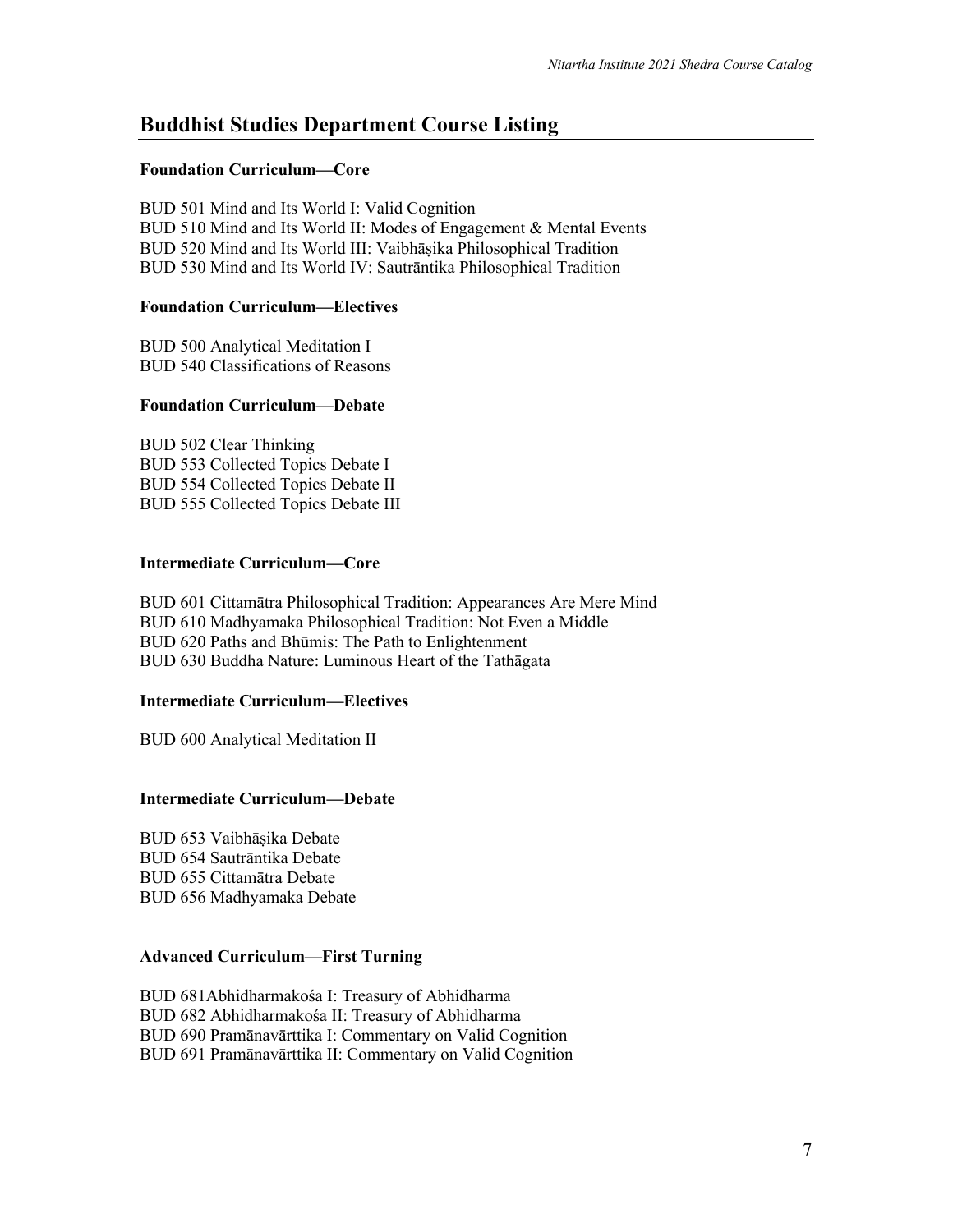# **Buddhist Studies Department Course Listing**

#### **Foundation Curriculum—Core**

BUD 501 Mind and Its World I: Valid Cognition BUD 510 Mind and Its World II: Modes of Engagement & Mental Events BUD 520 Mind and Its World III: Vaibhāṣika Philosophical Tradition BUD 530 Mind and Its World IV: Sautrāntika Philosophical Tradition

#### **Foundation Curriculum—Electives**

BUD 500 Analytical Meditation I BUD 540 Classifications of Reasons

#### **Foundation Curriculum—Debate**

BUD 502 Clear Thinking BUD 553 Collected Topics Debate I BUD 554 Collected Topics Debate II BUD 555 Collected Topics Debate III

#### **Intermediate Curriculum—Core**

BUD 601 Cittamātra Philosophical Tradition: Appearances Are Mere Mind BUD 610 Madhyamaka Philosophical Tradition: Not Even a Middle BUD 620 Paths and Bhūmis: The Path to Enlightenment BUD 630 Buddha Nature: Luminous Heart of the Tathāgata

#### **Intermediate Curriculum—Electives**

BUD 600 Analytical Meditation II

# **Intermediate Curriculum—Debate**

BUD 653 Vaibhāṣika Debate BUD 654 Sautrāntika Debate BUD 655 Cittamātra Debate BUD 656 Madhyamaka Debate

#### **Advanced Curriculum—First Turning**

BUD 681Abhidharmakośa I: Treasury of Abhidharma BUD 682 Abhidharmakośa II: Treasury of Abhidharma BUD 690 Pramānavārttika I: Commentary on Valid Cognition BUD 691 Pramānavārttika II: Commentary on Valid Cognition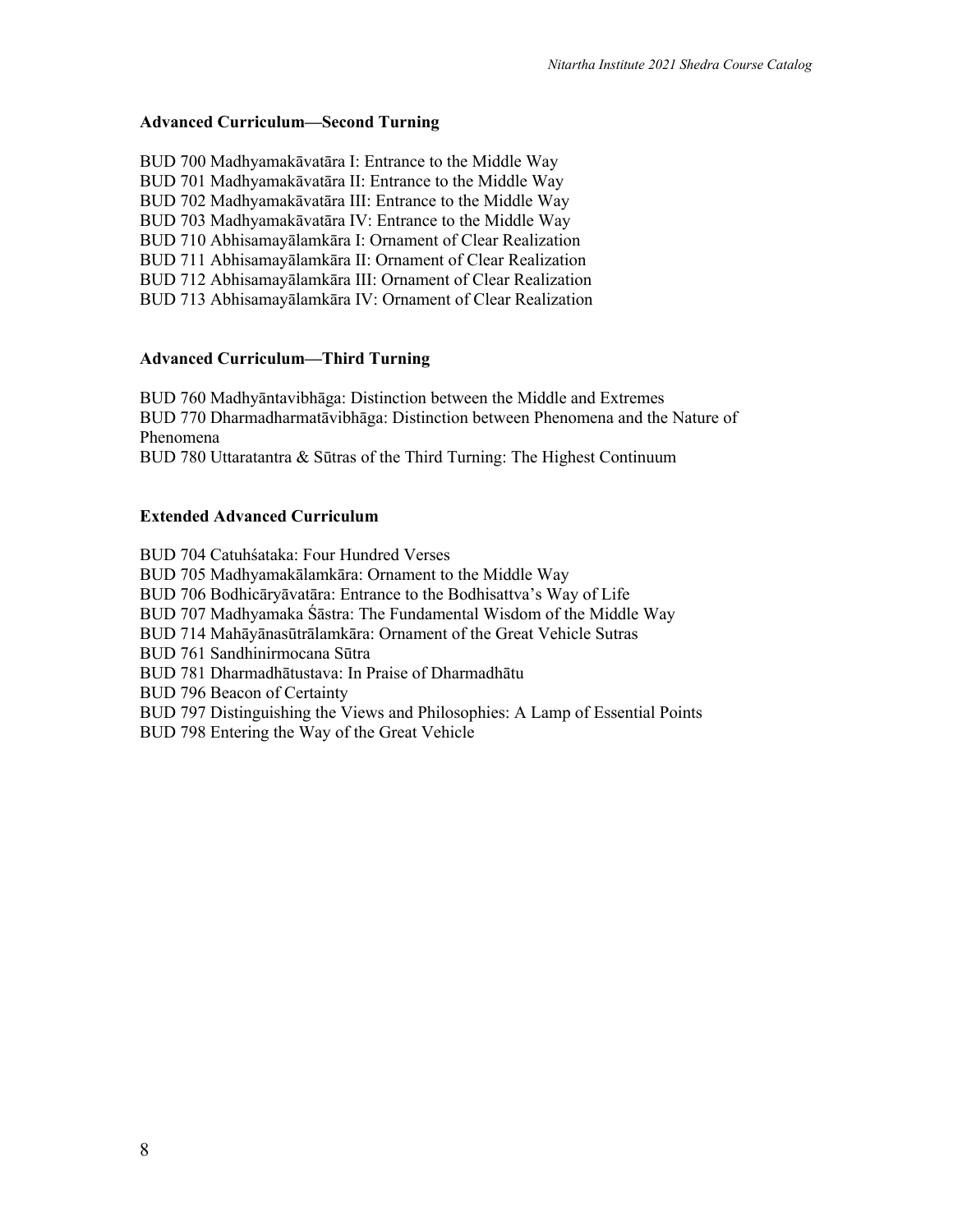#### **Advanced Curriculum—Second Turning**

BUD 700 Madhyamakāvatāra I: Entrance to the Middle Way BUD 701 Madhyamakāvatāra II: Entrance to the Middle Way BUD 702 Madhyamakāvatāra III: Entrance to the Middle Way BUD 703 Madhyamakāvatāra IV: Entrance to the Middle Way BUD 710 Abhisamayālamkāra I: Ornament of Clear Realization BUD 711 Abhisamayālamkāra II: Ornament of Clear Realization BUD 712 Abhisamayālamkāra III: Ornament of Clear Realization BUD 713 Abhisamayālamkāra IV: Ornament of Clear Realization

#### **Advanced Curriculum—Third Turning**

BUD 760 Madhyāntavibhāga: Distinction between the Middle and Extremes BUD 770 Dharmadharmatāvibhāga: Distinction between Phenomena and the Nature of Phenomena

BUD 780 Uttaratantra & Sūtras of the Third Turning: The Highest Continuum

#### **Extended Advanced Curriculum**

BUD 704 Catuhśataka: Four Hundred Verses BUD 705 Madhyamakālamkāra: Ornament to the Middle Way BUD 706 Bodhicāryāvatāra: Entrance to the Bodhisattva's Way of Life BUD 707 Madhyamaka Śāstra: The Fundamental Wisdom of the Middle Way BUD 714 Mahāyānasūtrālamkāra: Ornament of the Great Vehicle Sutras BUD 761 Sandhinirmocana Sūtra BUD 781 Dharmadhātustava: In Praise of Dharmadhātu BUD 796 Beacon of Certainty BUD 797 Distinguishing the Views and Philosophies: A Lamp of Essential Points BUD 798 Entering the Way of the Great Vehicle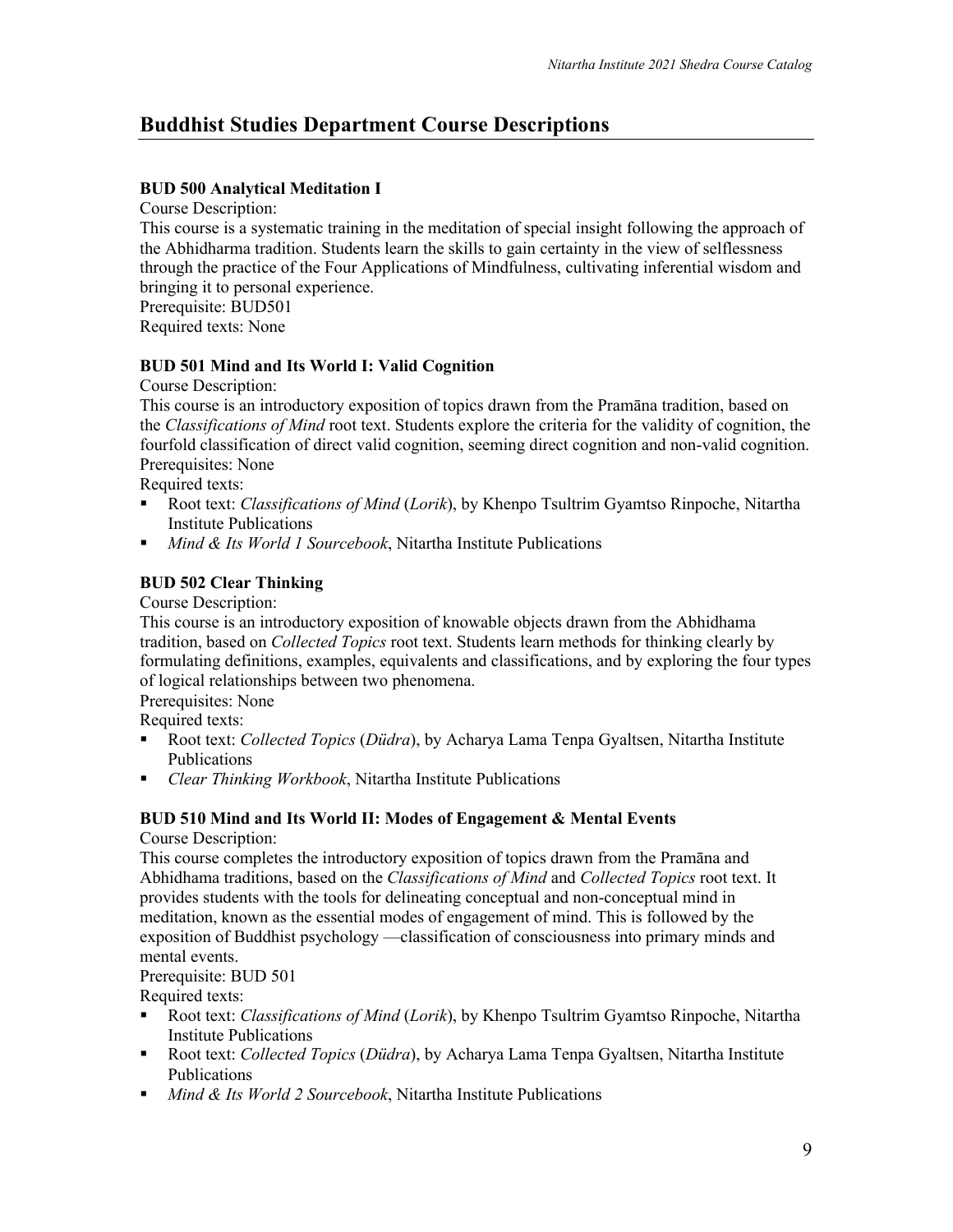# **Buddhist Studies Department Course Descriptions**

# **BUD 500 Analytical Meditation I**

Course Description:

This course is a systematic training in the meditation of special insight following the approach of the Abhidharma tradition. Students learn the skills to gain certainty in the view of selflessness through the practice of the Four Applications of Mindfulness, cultivating inferential wisdom and bringing it to personal experience.

Prerequisite: BUD501

Required texts: None

#### **BUD 501 Mind and Its World I: Valid Cognition**

Course Description:

This course is an introductory exposition of topics drawn from the Pramāna tradition, based on the *Classifications of Mind* root text. Students explore the criteria for the validity of cognition, the fourfold classification of direct valid cognition, seeming direct cognition and non-valid cognition. Prerequisites: None

Required texts:

- § Root text: *Classifications of Mind* (*Lorik*), by Khenpo Tsultrim Gyamtso Rinpoche, Nitartha Institute Publications
- *Mind & Its World 1 Sourcebook*, Nitartha Institute Publications

# **BUD 502 Clear Thinking**

Course Description:

This course is an introductory exposition of knowable objects drawn from the Abhidhama tradition, based on *Collected Topics* root text. Students learn methods for thinking clearly by formulating definitions, examples, equivalents and classifications, and by exploring the four types of logical relationships between two phenomena.

Prerequisites: None

Required texts:

- Root text: *Collected Topics* (*Düdra*), by Acharya Lama Tenpa Gyaltsen, Nitartha Institute Publications
- *Clear Thinking Workbook*, Nitartha Institute Publications

#### **BUD 510 Mind and Its World II: Modes of Engagement & Mental Events** Course Description:

This course completes the introductory exposition of topics drawn from the Pramāna and Abhidhama traditions, based on the *Classifications of Mind* and *Collected Topics* root text. It provides students with the tools for delineating conceptual and non-conceptual mind in meditation, known as the essential modes of engagement of mind. This is followed by the exposition of Buddhist psychology —classification of consciousness into primary minds and mental events.

Prerequisite: BUD 501

Required texts:

- § Root text: *Classifications of Mind* (*Lorik*), by Khenpo Tsultrim Gyamtso Rinpoche, Nitartha Institute Publications
- Root text: *Collected Topics* (*Düdra*), by Acharya Lama Tenpa Gyaltsen, Nitartha Institute Publications
- *Mind & Its World 2 Sourcebook*, Nitartha Institute Publications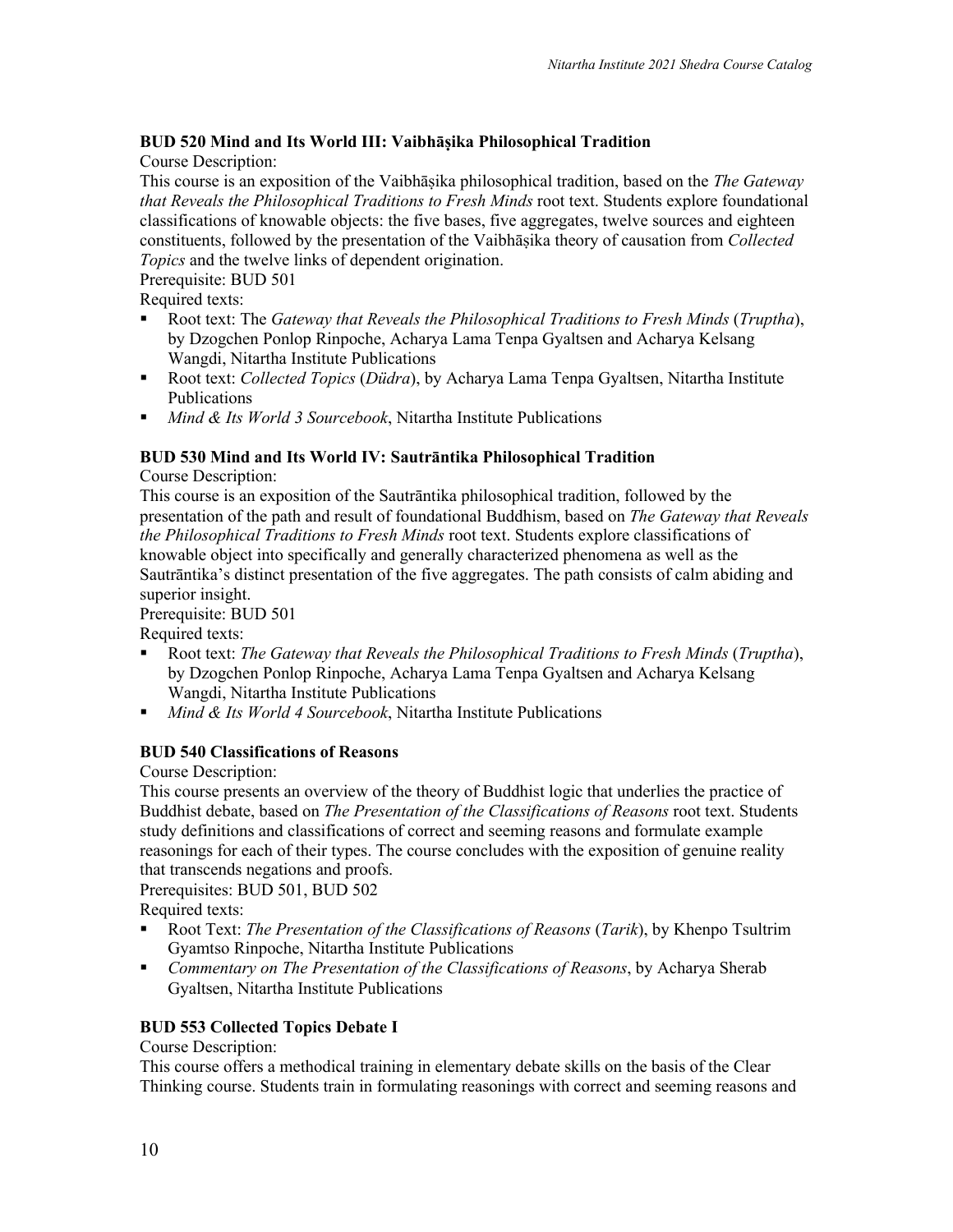# **BUD 520 Mind and Its World III: Vaibhāṣika Philosophical Tradition**

Course Description:

This course is an exposition of the Vaibhāṣika philosophical tradition, based on the *The Gateway that Reveals the Philosophical Traditions to Fresh Minds* root text. Students explore foundational classifications of knowable objects: the five bases, five aggregates, twelve sources and eighteen constituents, followed by the presentation of the Vaibhāṣika theory of causation from *Collected Topics* and the twelve links of dependent origination.

Prerequisite: BUD 501

Required texts:

- § Root text: The *Gateway that Reveals the Philosophical Traditions to Fresh Minds* (*Truptha*), by Dzogchen Ponlop Rinpoche, Acharya Lama Tenpa Gyaltsen and Acharya Kelsang Wangdi, Nitartha Institute Publications
- Root text: *Collected Topics* (*Düdra*), by Acharya Lama Tenpa Gyaltsen, Nitartha Institute Publications
- *Mind & Its World 3 Sourcebook*, Nitartha Institute Publications

# **BUD 530 Mind and Its World IV: Sautrāntika Philosophical Tradition**

Course Description:

This course is an exposition of the Sautrāntika philosophical tradition, followed by the presentation of the path and result of foundational Buddhism, based on *The Gateway that Reveals the Philosophical Traditions to Fresh Minds* root text. Students explore classifications of knowable object into specifically and generally characterized phenomena as well as the Sautrāntika's distinct presentation of the five aggregates. The path consists of calm abiding and superior insight.

Prerequisite: BUD 501

Required texts:

- § Root text: *The Gateway that Reveals the Philosophical Traditions to Fresh Minds* (*Truptha*), by Dzogchen Ponlop Rinpoche, Acharya Lama Tenpa Gyaltsen and Acharya Kelsang Wangdi, Nitartha Institute Publications
- *Mind & Its World 4 Sourcebook*, Nitartha Institute Publications

# **BUD 540 Classifications of Reasons**

Course Description:

This course presents an overview of the theory of Buddhist logic that underlies the practice of Buddhist debate, based on *The Presentation of the Classifications of Reasons* root text. Students study definitions and classifications of correct and seeming reasons and formulate example reasonings for each of their types. The course concludes with the exposition of genuine reality that transcends negations and proofs.

Prerequisites: BUD 501, BUD 502

Required texts:

- § Root Text: *The Presentation of the Classifications of Reasons* (*Tarik*), by Khenpo Tsultrim Gyamtso Rinpoche, Nitartha Institute Publications
- § *Commentary on The Presentation of the Classifications of Reasons*, by Acharya Sherab Gyaltsen, Nitartha Institute Publications

# **BUD 553 Collected Topics Debate I**

#### Course Description:

This course offers a methodical training in elementary debate skills on the basis of the Clear Thinking course. Students train in formulating reasonings with correct and seeming reasons and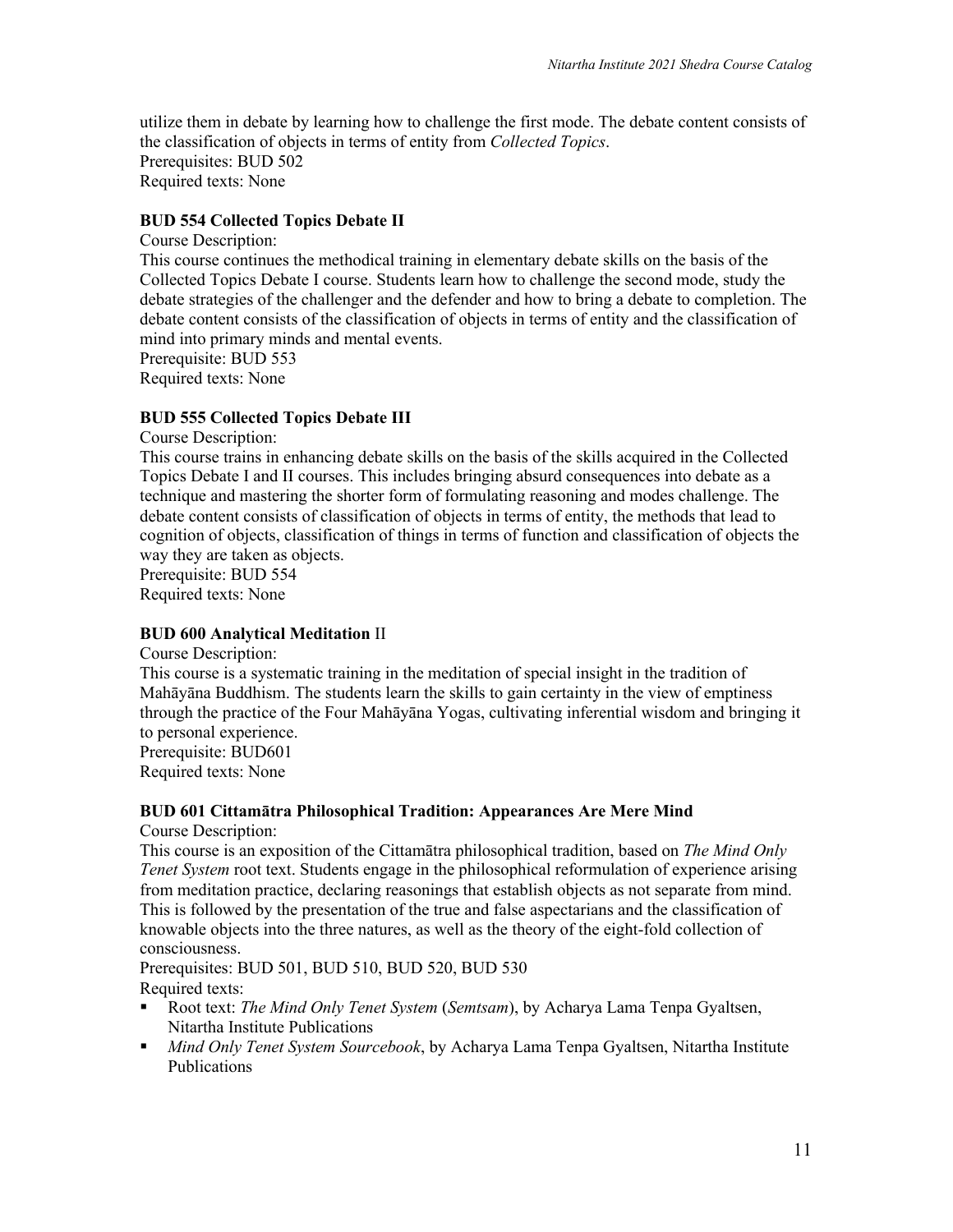utilize them in debate by learning how to challenge the first mode. The debate content consists of the classification of objects in terms of entity from *Collected Topics*. Prerequisites: BUD 502 Required texts: None

#### **BUD 554 Collected Topics Debate II**

Course Description: This course continues the methodical training in elementary debate skills on the basis of the Collected Topics Debate I course. Students learn how to challenge the second mode, study the debate strategies of the challenger and the defender and how to bring a debate to completion. The debate content consists of the classification of objects in terms of entity and the classification of mind into primary minds and mental events. Prerequisite: BUD 553

Required texts: None

#### **BUD 555 Collected Topics Debate III**

Course Description:

This course trains in enhancing debate skills on the basis of the skills acquired in the Collected Topics Debate I and II courses. This includes bringing absurd consequences into debate as a technique and mastering the shorter form of formulating reasoning and modes challenge. The debate content consists of classification of objects in terms of entity, the methods that lead to cognition of objects, classification of things in terms of function and classification of objects the way they are taken as objects.

Prerequisite: BUD 554 Required texts: None

#### **BUD 600 Analytical Meditation** II

Course Description:

This course is a systematic training in the meditation of special insight in the tradition of Mahāyāna Buddhism. The students learn the skills to gain certainty in the view of emptiness through the practice of the Four Mahāyāna Yogas, cultivating inferential wisdom and bringing it to personal experience. Prerequisite: BUD601

Required texts: None

#### **BUD 601 Cittamātra Philosophical Tradition: Appearances Are Mere Mind**

Course Description:

This course is an exposition of the Cittamātra philosophical tradition, based on *The Mind Only Tenet System* root text. Students engage in the philosophical reformulation of experience arising from meditation practice, declaring reasonings that establish objects as not separate from mind. This is followed by the presentation of the true and false aspectarians and the classification of knowable objects into the three natures, as well as the theory of the eight-fold collection of consciousness.

Prerequisites: BUD 501, BUD 510, BUD 520, BUD 530 Required texts:

- § Root text: *The Mind Only Tenet System* (*Semtsam*), by Acharya Lama Tenpa Gyaltsen, Nitartha Institute Publications
- § *Mind Only Tenet System Sourcebook*, by Acharya Lama Tenpa Gyaltsen, Nitartha Institute Publications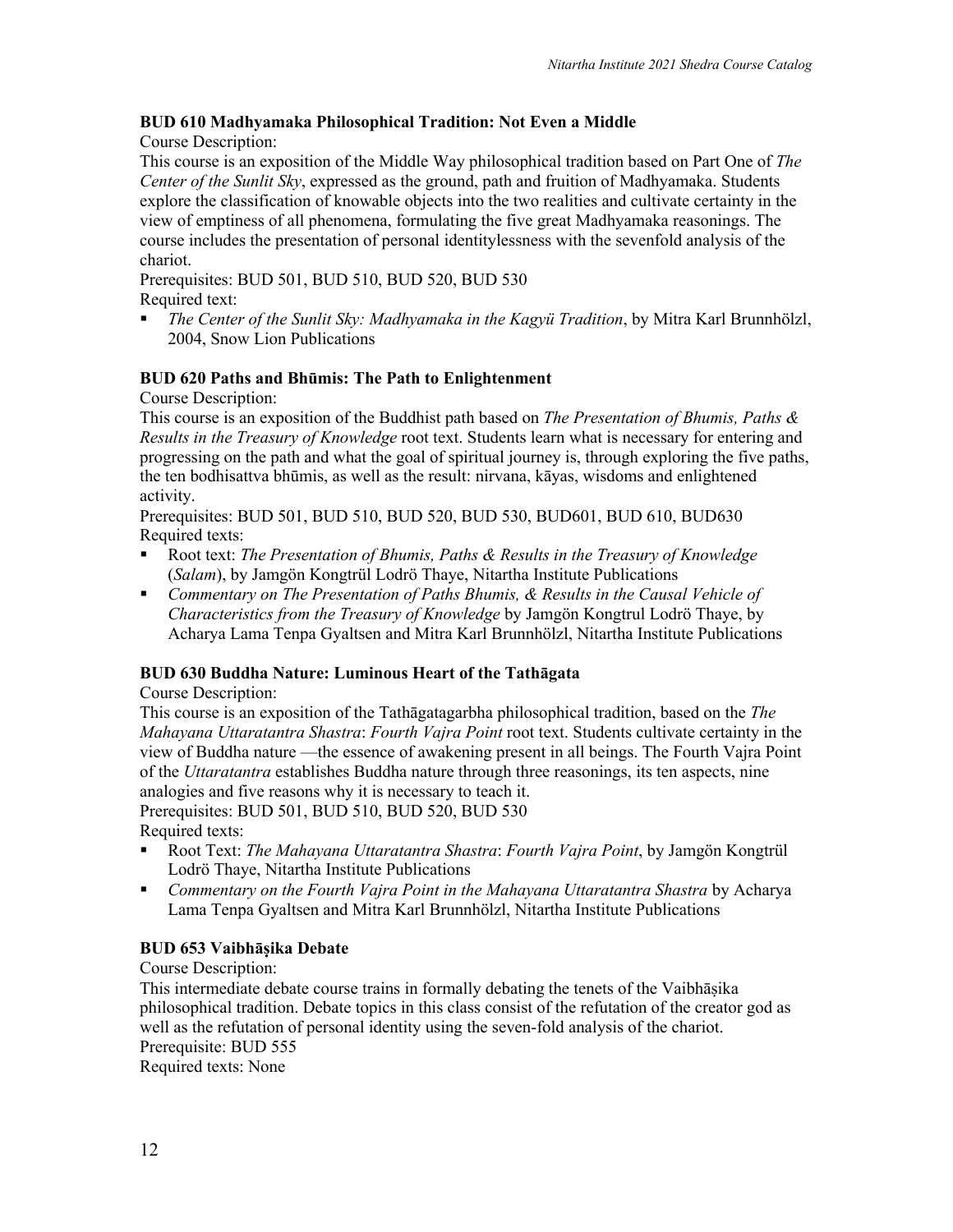# **BUD 610 Madhyamaka Philosophical Tradition: Not Even a Middle**

Course Description:

This course is an exposition of the Middle Way philosophical tradition based on Part One of *The Center of the Sunlit Sky*, expressed as the ground, path and fruition of Madhyamaka. Students explore the classification of knowable objects into the two realities and cultivate certainty in the view of emptiness of all phenomena, formulating the five great Madhyamaka reasonings. The course includes the presentation of personal identitylessness with the sevenfold analysis of the chariot.

Prerequisites: BUD 501, BUD 510, BUD 520, BUD 530 Required text:

§ *The Center of the Sunlit Sky: Madhyamaka in the Kagyü Tradition*, by Mitra Karl Brunnhölzl, 2004, Snow Lion Publications

# **BUD 620 Paths and Bhūmis: The Path to Enlightenment**

Course Description:

This course is an exposition of the Buddhist path based on *The Presentation of Bhumis, Paths & Results in the Treasury of Knowledge* root text. Students learn what is necessary for entering and progressing on the path and what the goal of spiritual journey is, through exploring the five paths, the ten bodhisattva bhūmis, as well as the result: nirvana, kāyas, wisdoms and enlightened activity.

Prerequisites: BUD 501, BUD 510, BUD 520, BUD 530, BUD601, BUD 610, BUD630 Required texts:

- § Root text: *The Presentation of Bhumis, Paths & Results in the Treasury of Knowledge* (*Salam*), by Jamgön Kongtrül Lodrö Thaye, Nitartha Institute Publications
- § *Commentary on The Presentation of Paths Bhumis, & Results in the Causal Vehicle of Characteristics from the Treasury of Knowledge* by Jamgön Kongtrul Lodrö Thaye, by Acharya Lama Tenpa Gyaltsen and Mitra Karl Brunnhölzl, Nitartha Institute Publications

# **BUD 630 Buddha Nature: Luminous Heart of the Tathāgata**

Course Description:

This course is an exposition of the Tathāgatagarbha philosophical tradition, based on the *The Mahayana Uttaratantra Shastra*: *Fourth Vajra Point* root text. Students cultivate certainty in the view of Buddha nature —the essence of awakening present in all beings. The Fourth Vajra Point of the *Uttaratantra* establishes Buddha nature through three reasonings, its ten aspects, nine analogies and five reasons why it is necessary to teach it.

Prerequisites: BUD 501, BUD 510, BUD 520, BUD 530 Required texts:

- § Root Text: *The Mahayana Uttaratantra Shastra*: *Fourth Vajra Point*, by Jamgön Kongtrül Lodrö Thaye, Nitartha Institute Publications
- § *Commentary on the Fourth Vajra Point in the Mahayana Uttaratantra Shastra* by Acharya Lama Tenpa Gyaltsen and Mitra Karl Brunnhölzl, Nitartha Institute Publications

# **BUD 653 Vaibhāṣika Debate**

# Course Description:

This intermediate debate course trains in formally debating the tenets of the Vaibhāṣika philosophical tradition. Debate topics in this class consist of the refutation of the creator god as well as the refutation of personal identity using the seven-fold analysis of the chariot. Prerequisite: BUD 555

Required texts: None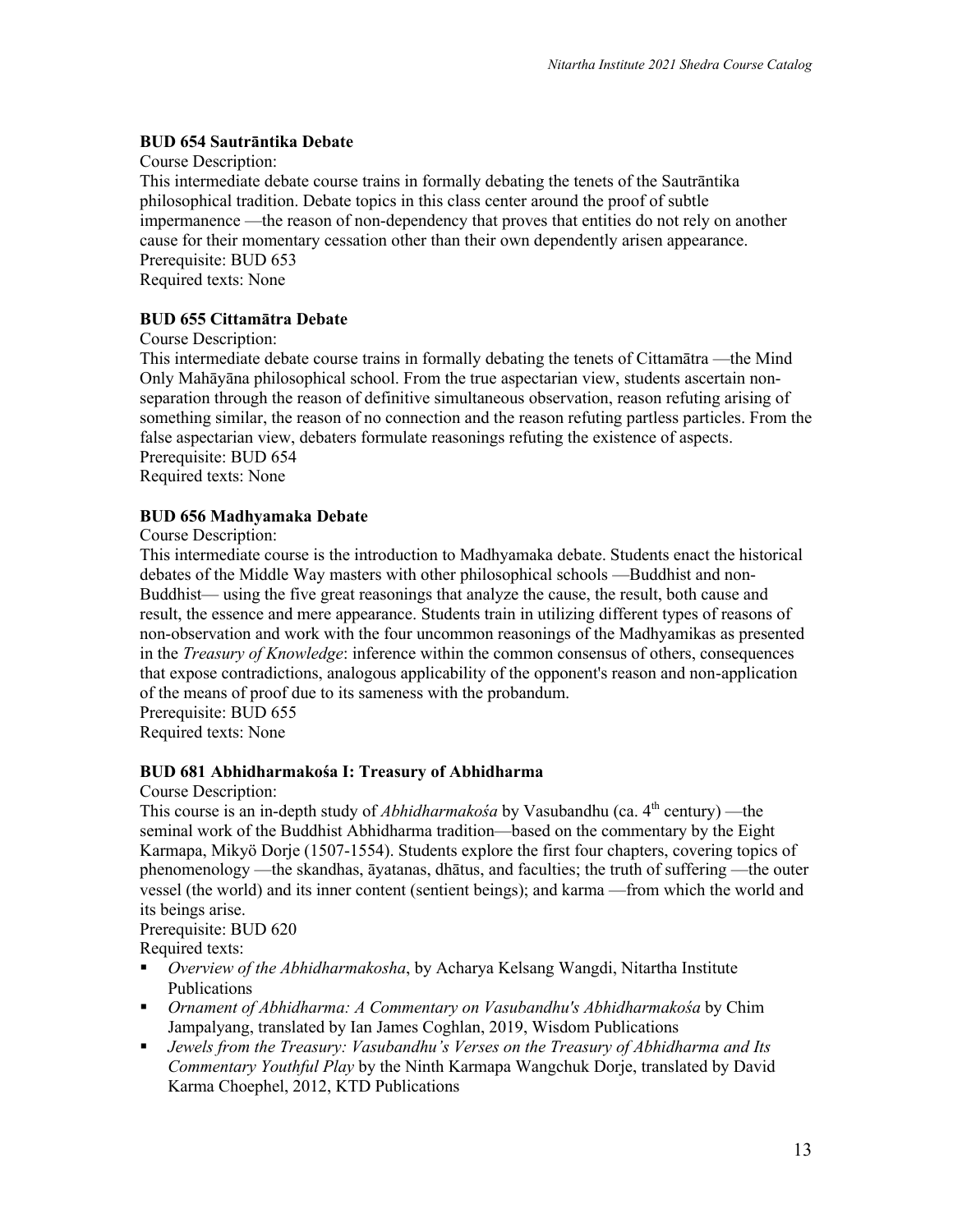# **BUD 654 Sautrāntika Debate**

Course Description:

This intermediate debate course trains in formally debating the tenets of the Sautrāntika philosophical tradition. Debate topics in this class center around the proof of subtle impermanence —the reason of non-dependency that proves that entities do not rely on another cause for their momentary cessation other than their own dependently arisen appearance. Prerequisite: BUD 653 Required texts: None

#### **BUD 655 Cittamātra Debate**

Course Description:

This intermediate debate course trains in formally debating the tenets of Cittamātra —the Mind Only Mahāyāna philosophical school. From the true aspectarian view, students ascertain nonseparation through the reason of definitive simultaneous observation, reason refuting arising of something similar, the reason of no connection and the reason refuting partless particles. From the false aspectarian view, debaters formulate reasonings refuting the existence of aspects. Prerequisite: BUD 654

Required texts: None

#### **BUD 656 Madhyamaka Debate**

Course Description:

This intermediate course is the introduction to Madhyamaka debate. Students enact the historical debates of the Middle Way masters with other philosophical schools —Buddhist and non-Buddhist— using the five great reasonings that analyze the cause, the result, both cause and result, the essence and mere appearance. Students train in utilizing different types of reasons of non-observation and work with the four uncommon reasonings of the Madhyamikas as presented in the *Treasury of Knowledge*: inference within the common consensus of others, consequences that expose contradictions, analogous applicability of the opponent's reason and non-application of the means of proof due to its sameness with the probandum. Prerequisite: BUD 655

Required texts: None

#### **BUD 681 Abhidharmakośa I: Treasury of Abhidharma**

Course Description:

This course is an in-depth study of *Abhidharmakośa* by Vasubandhu (ca. 4<sup>th</sup> century) — the seminal work of the Buddhist Abhidharma tradition—based on the commentary by the Eight Karmapa, Mikyö Dorje (1507-1554). Students explore the first four chapters, covering topics of phenomenology —the skandhas, āyatanas, dhātus, and faculties; the truth of suffering —the outer vessel (the world) and its inner content (sentient beings); and karma —from which the world and its beings arise.

Prerequisite: BUD 620

Required texts:

- § *Overview of the Abhidharmakosha*, by Acharya Kelsang Wangdi, Nitartha Institute Publications
- § *Ornament of Abhidharma: A Commentary on Vasubandhu's Abhidharmakośa* by Chim Jampalyang, translated by Ian James Coghlan, 2019, Wisdom Publications
- § *Jewels from the Treasury: Vasubandhu's Verses on the Treasury of Abhidharma and Its Commentary Youthful Play* by the Ninth Karmapa Wangchuk Dorje, translated by David Karma Choephel, 2012, KTD Publications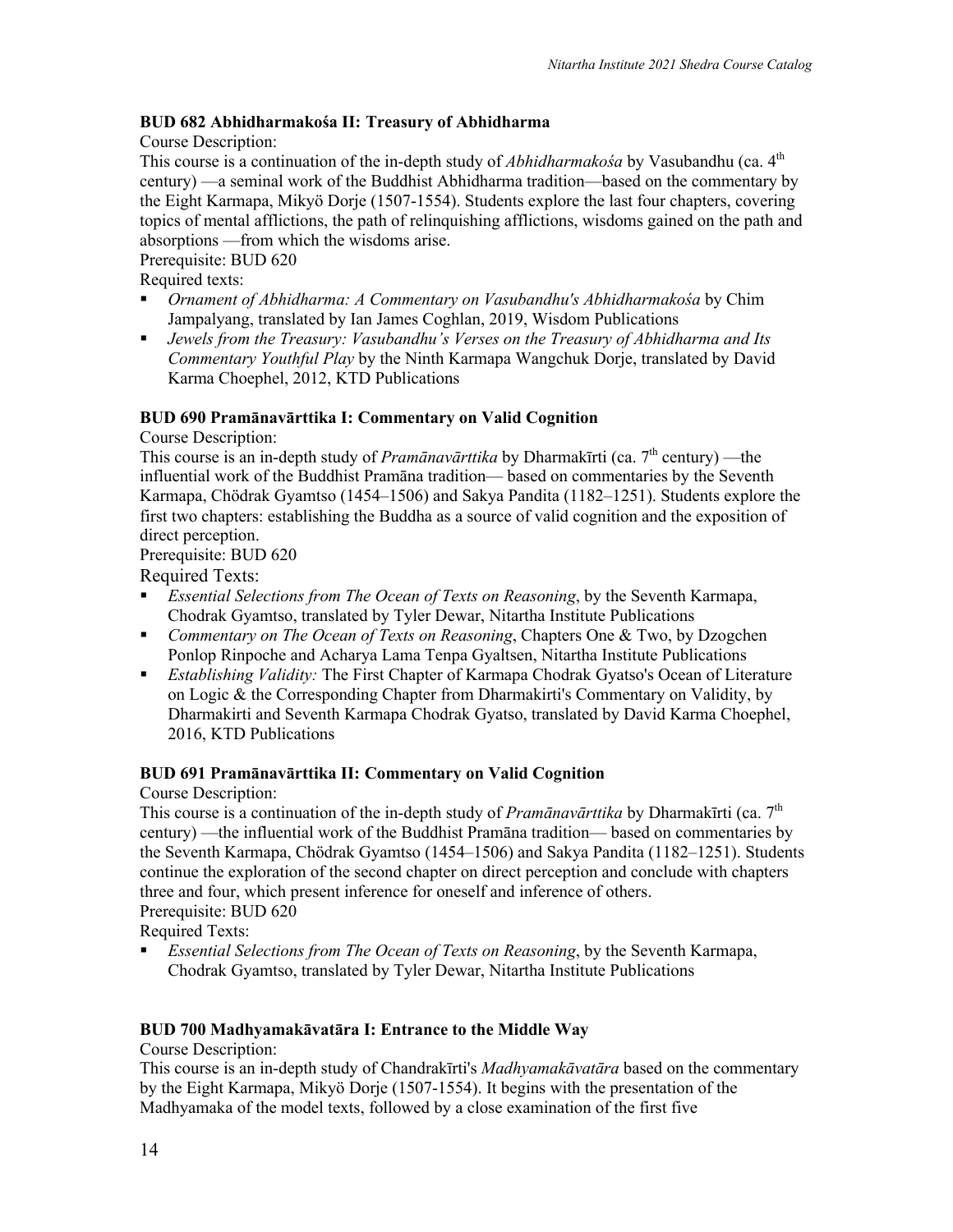# **BUD 682 Abhidharmakośa II: Treasury of Abhidharma**

Course Description:

This course is a continuation of the in-depth study of *Abhidharmakośa* by Vasubandhu (ca. 4<sup>th</sup>) century) —a seminal work of the Buddhist Abhidharma tradition—based on the commentary by the Eight Karmapa, Mikyö Dorje (1507-1554). Students explore the last four chapters, covering topics of mental afflictions, the path of relinquishing afflictions, wisdoms gained on the path and absorptions —from which the wisdoms arise.

Prerequisite: BUD 620

Required texts:

- § *Ornament of Abhidharma: A Commentary on Vasubandhu's Abhidharmakośa* by Chim Jampalyang, translated by Ian James Coghlan, 2019, Wisdom Publications
- § *Jewels from the Treasury: Vasubandhu's Verses on the Treasury of Abhidharma and Its Commentary Youthful Play* by the Ninth Karmapa Wangchuk Dorje, translated by David Karma Choephel, 2012, KTD Publications

# **BUD 690 Pramānavārttika I: Commentary on Valid Cognition**

Course Description:

This course is an in-depth study of *Pramānavārttika* by Dharmakīrti (ca.  $7<sup>th</sup>$  century) —the influential work of the Buddhist Pramāna tradition— based on commentaries by the Seventh Karmapa, Chödrak Gyamtso (1454–1506) and Sakya Pandita (1182–1251). Students explore the first two chapters: establishing the Buddha as a source of valid cognition and the exposition of direct perception.

Prerequisite: BUD 620

Required Texts:

- **•** *Essential Selections from The Ocean of Texts on Reasoning*, by the Seventh Karmapa, Chodrak Gyamtso, translated by Tyler Dewar, Nitartha Institute Publications
- § *Commentary on The Ocean of Texts on Reasoning*, Chapters One & Two, by Dzogchen Ponlop Rinpoche and Acharya Lama Tenpa Gyaltsen, Nitartha Institute Publications
- *Establishing Validity:* The First Chapter of Karmapa Chodrak Gyatso's Ocean of Literature on Logic & the Corresponding Chapter from Dharmakirti's Commentary on Validity, by Dharmakirti and Seventh Karmapa Chodrak Gyatso, translated by David Karma Choephel, 2016, KTD Publications

# **BUD 691 Pramānavārttika II: Commentary on Valid Cognition**

Course Description:

This course is a continuation of the in-depth study of *Pramānavārttika* by Dharmakīrti (ca. 7th century) —the influential work of the Buddhist Pramāna tradition— based on commentaries by the Seventh Karmapa, Chödrak Gyamtso (1454–1506) and Sakya Pandita (1182–1251). Students continue the exploration of the second chapter on direct perception and conclude with chapters three and four, which present inference for oneself and inference of others. Prerequisite: BUD 620

Required Texts:

§ *Essential Selections from The Ocean of Texts on Reasoning*, by the Seventh Karmapa, Chodrak Gyamtso, translated by Tyler Dewar, Nitartha Institute Publications

# **BUD 700 Madhyamakāvatāra I: Entrance to the Middle Way**

Course Description:

This course is an in-depth study of Chandrakīrti's *Madhyamakāvatāra* based on the commentary by the Eight Karmapa, Mikyö Dorje (1507-1554). It begins with the presentation of the Madhyamaka of the model texts, followed by a close examination of the first five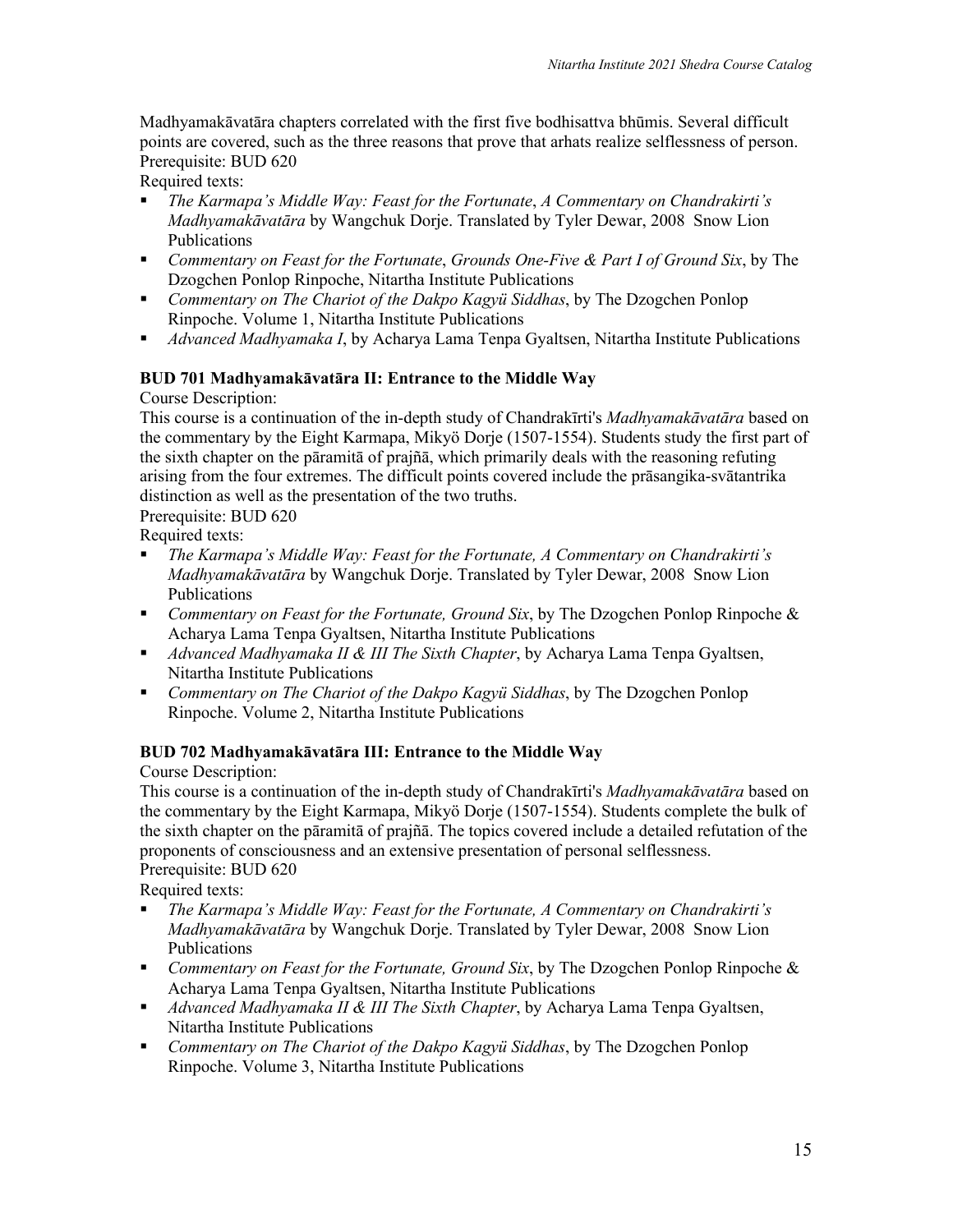Madhyamakāvatāra chapters correlated with the first five bodhisattva bhūmis. Several difficult points are covered, such as the three reasons that prove that arhats realize selflessness of person. Prerequisite: BUD 620

Required texts:

- § *The Karmapa's Middle Way: Feast for the Fortunate*, *A Commentary on Chandrakirti's Madhyamakāvatāra* by Wangchuk Dorje. Translated by Tyler Dewar, 2008 Snow Lion Publications
- § *Commentary on Feast for the Fortunate*, *Grounds One-Five & Part I of Ground Six*, by The Dzogchen Ponlop Rinpoche, Nitartha Institute Publications
- § *Commentary on The Chariot of the Dakpo Kagyü Siddhas*, by The Dzogchen Ponlop Rinpoche. Volume 1, Nitartha Institute Publications
- § *Advanced Madhyamaka I*, by Acharya Lama Tenpa Gyaltsen, Nitartha Institute Publications

# **BUD 701 Madhyamakāvatāra II: Entrance to the Middle Way**

Course Description:

This course is a continuation of the in-depth study of Chandrakīrti's *Madhyamakāvatāra* based on the commentary by the Eight Karmapa, Mikyö Dorje (1507-1554). Students study the first part of the sixth chapter on the pāramitā of prajñā, which primarily deals with the reasoning refuting arising from the four extremes. The difficult points covered include the prāsangika-svātantrika distinction as well as the presentation of the two truths.

Prerequisite: BUD 620

Required texts:

- § *The Karmapa's Middle Way: Feast for the Fortunate, A Commentary on Chandrakirti's Madhyamakāvatāra* by Wangchuk Dorje. Translated by Tyler Dewar, 2008 Snow Lion Publications
- *Commentary on Feast for the Fortunate, Ground Six*, by The Dzogchen Ponlop Rinpoche & Acharya Lama Tenpa Gyaltsen, Nitartha Institute Publications
- § *Advanced Madhyamaka II & III The Sixth Chapter*, by Acharya Lama Tenpa Gyaltsen, Nitartha Institute Publications
- § *Commentary on The Chariot of the Dakpo Kagyü Siddhas*, by The Dzogchen Ponlop Rinpoche. Volume 2, Nitartha Institute Publications

# **BUD 702 Madhyamakāvatāra III: Entrance to the Middle Way**

Course Description:

This course is a continuation of the in-depth study of Chandrakīrti's *Madhyamakāvatāra* based on the commentary by the Eight Karmapa, Mikyö Dorje (1507-1554). Students complete the bulk of the sixth chapter on the pāramitā of prajñā. The topics covered include a detailed refutation of the proponents of consciousness and an extensive presentation of personal selflessness. Prerequisite: BUD 620

Required texts:

- § *The Karmapa's Middle Way: Feast for the Fortunate, A Commentary on Chandrakirti's Madhyamakāvatāra* by Wangchuk Dorje. Translated by Tyler Dewar, 2008 Snow Lion Publications
- § *Commentary on Feast for the Fortunate, Ground Six*, by The Dzogchen Ponlop Rinpoche & Acharya Lama Tenpa Gyaltsen, Nitartha Institute Publications
- § *Advanced Madhyamaka II & III The Sixth Chapter*, by Acharya Lama Tenpa Gyaltsen, Nitartha Institute Publications
- § *Commentary on The Chariot of the Dakpo Kagyü Siddhas*, by The Dzogchen Ponlop Rinpoche. Volume 3, Nitartha Institute Publications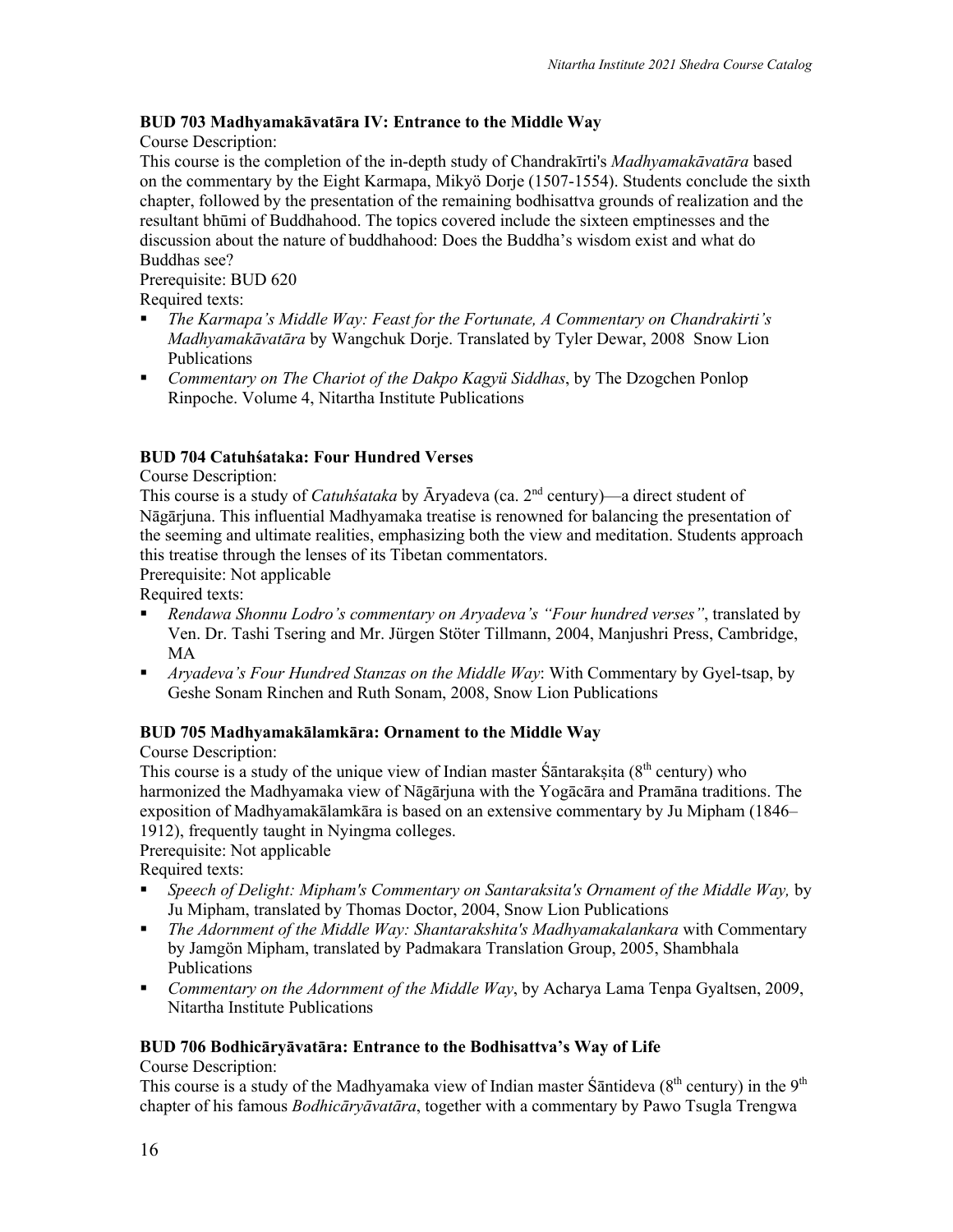# **BUD 703 Madhyamakāvatāra IV: Entrance to the Middle Way**

Course Description:

This course is the completion of the in-depth study of Chandrakīrti's *Madhyamakāvatāra* based on the commentary by the Eight Karmapa, Mikyö Dorje (1507-1554). Students conclude the sixth chapter, followed by the presentation of the remaining bodhisattva grounds of realization and the resultant bhūmi of Buddhahood. The topics covered include the sixteen emptinesses and the discussion about the nature of buddhahood: Does the Buddha's wisdom exist and what do Buddhas see?

#### Prerequisite: BUD 620

Required texts:

- § *The Karmapa's Middle Way: Feast for the Fortunate, A Commentary on Chandrakirti's Madhyamakāvatāra* by Wangchuk Dorje. Translated by Tyler Dewar, 2008 Snow Lion Publications
- § *Commentary on The Chariot of the Dakpo Kagyü Siddhas*, by The Dzogchen Ponlop Rinpoche. Volume 4, Nitartha Institute Publications

# **BUD 704 Catuhśataka: Four Hundred Verses**

Course Description:

This course is a study of *Catuhśataka* by Āryadeva (ca. 2nd century)—a direct student of Nāgārjuna. This influential Madhyamaka treatise is renowned for balancing the presentation of the seeming and ultimate realities, emphasizing both the view and meditation. Students approach this treatise through the lenses of its Tibetan commentators.

Prerequisite: Not applicable

Required texts:

- § *Rendawa Shonnu Lodro's commentary on Aryadeva's "Four hundred verses"*, translated by Ven. Dr. Tashi Tsering and Mr. Jürgen Stöter Tillmann, 2004, Manjushri Press, Cambridge, MA
- § *Aryadeva's Four Hundred Stanzas on the Middle Way*: With Commentary by Gyel-tsap, by Geshe Sonam Rinchen and Ruth Sonam, 2008, Snow Lion Publications

# **BUD 705 Madhyamakālamkāra: Ornament to the Middle Way**

Course Description:

This course is a study of the unique view of Indian master  $\hat{S}$  antaraksita ( $8<sup>th</sup>$  century) who harmonized the Madhyamaka view of Nāgārjuna with the Yogācāra and Pramāna traditions. The exposition of Madhyamakālamkāra is based on an extensive commentary by Ju Mipham (1846– 1912), frequently taught in Nyingma colleges.

#### Prerequisite: Not applicable

Required texts:

- § *Speech of Delight: Mipham's Commentary on Santaraksita's Ornament of the Middle Way,* by Ju Mipham, translated by Thomas Doctor, 2004, Snow Lion Publications
- § *The Adornment of the Middle Way: Shantarakshita's Madhyamakalankara* with Commentary by Jamgön Mipham, translated by Padmakara Translation Group, 2005, Shambhala Publications
- § *Commentary on the Adornment of the Middle Way*, by Acharya Lama Tenpa Gyaltsen, 2009, Nitartha Institute Publications

# **BUD 706 Bodhicāryāvatāra: Entrance to the Bodhisattva's Way of Life**

Course Description:

This course is a study of the Madhyamaka view of Indian master Santideva ( $8<sup>th</sup>$  century) in the  $9<sup>th</sup>$ chapter of his famous *Bodhicāryāvatāra*, together with a commentary by Pawo Tsugla Trengwa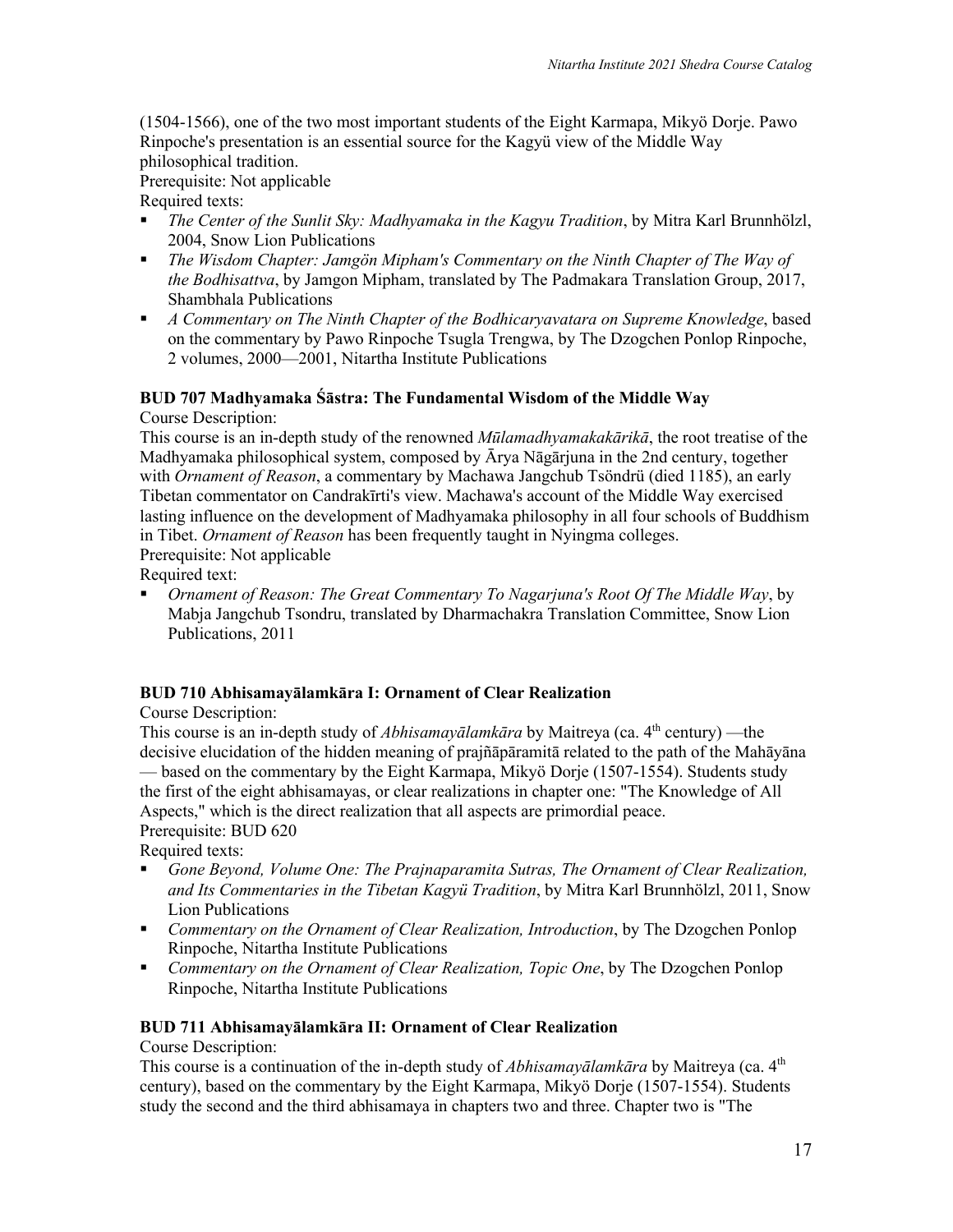(1504-1566), one of the two most important students of the Eight Karmapa, Mikyö Dorje. Pawo Rinpoche's presentation is an essential source for the Kagyü view of the Middle Way philosophical tradition.

Prerequisite: Not applicable

Required texts:

- § *The Center of the Sunlit Sky: Madhyamaka in the Kagyu Tradition*, by Mitra Karl Brunnhölzl, 2004, Snow Lion Publications
- § *The Wisdom Chapter: Jamgön Mipham's Commentary on the Ninth Chapter of The Way of the Bodhisattva*, by Jamgon Mipham, translated by The Padmakara Translation Group, 2017, Shambhala Publications
- § *A Commentary on The Ninth Chapter of the Bodhicaryavatara on Supreme Knowledge*, based on the commentary by Pawo Rinpoche Tsugla Trengwa, by The Dzogchen Ponlop Rinpoche, 2 volumes, 2000—2001, Nitartha Institute Publications

# **BUD 707 Madhyamaka Śāstra: The Fundamental Wisdom of the Middle Way** Course Description:

This course is an in-depth study of the renowned *Mūlamadhyamakakārikā*, the root treatise of the Madhyamaka philosophical system, composed by Ārya Nāgārjuna in the 2nd century, together with *Ornament of Reason*, a commentary by Machawa Jangchub Tsöndrü (died 1185), an early Tibetan commentator on Candrakīrti's view. Machawa's account of the Middle Way exercised lasting influence on the development of Madhyamaka philosophy in all four schools of Buddhism in Tibet. *Ornament of Reason* has been frequently taught in Nyingma colleges. Prerequisite: Not applicable

Required text:

§ *Ornament of Reason: The Great Commentary To Nagarjuna's Root Of The Middle Way*, by Mabja Jangchub Tsondru, translated by Dharmachakra Translation Committee, Snow Lion Publications, 2011

# **BUD 710 Abhisamayālamkāra I: Ornament of Clear Realization**

Course Description:

This course is an in-depth study of *Abhisamayālamkāra* by Maitreya (ca. 4<sup>th</sup> century) — the decisive elucidation of the hidden meaning of prajñāpāramitā related to the path of the Mahāyāna — based on the commentary by the Eight Karmapa, Mikyö Dorje (1507-1554). Students study the first of the eight abhisamayas, or clear realizations in chapter one: "The Knowledge of All Aspects," which is the direct realization that all aspects are primordial peace. Prerequisite: BUD 620

Required texts:

- § *Gone Beyond, Volume One: The Prajnaparamita Sutras, The Ornament of Clear Realization, and Its Commentaries in the Tibetan Kagyü Tradition*, by Mitra Karl Brunnhölzl, 2011, Snow Lion Publications
- § *Commentary on the Ornament of Clear Realization, Introduction*, by The Dzogchen Ponlop Rinpoche, Nitartha Institute Publications
- § *Commentary on the Ornament of Clear Realization, Topic One*, by The Dzogchen Ponlop Rinpoche, Nitartha Institute Publications

# **BUD 711 Abhisamayālamkāra II: Ornament of Clear Realization**

# Course Description:

This course is a continuation of the in-depth study of *Abhisamayālamkāra* by Maitreya (ca. 4<sup>th</sup>) century), based on the commentary by the Eight Karmapa, Mikyö Dorje (1507-1554). Students study the second and the third abhisamaya in chapters two and three. Chapter two is "The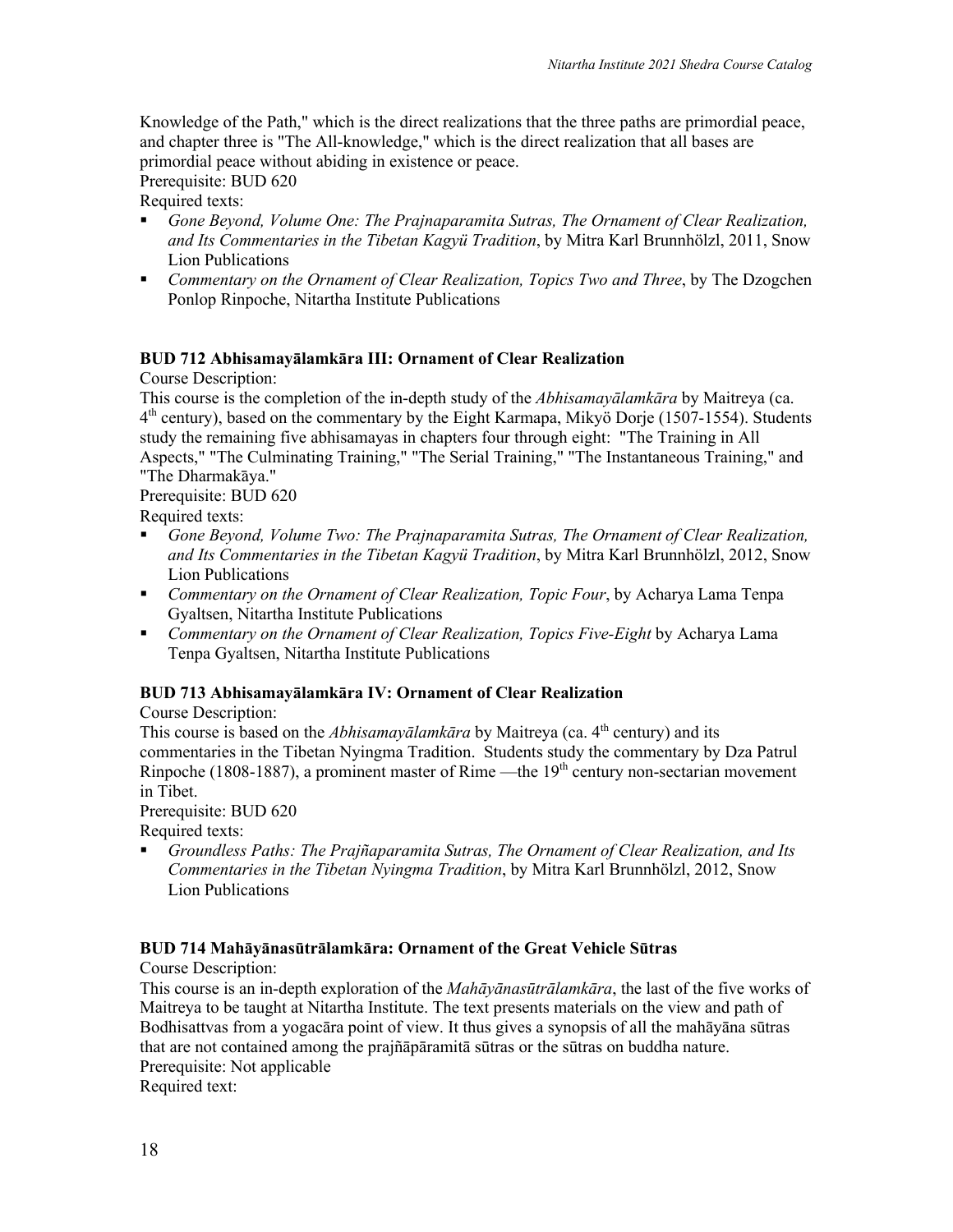Knowledge of the Path," which is the direct realizations that the three paths are primordial peace, and chapter three is "The All-knowledge," which is the direct realization that all bases are primordial peace without abiding in existence or peace.

Prerequisite: BUD 620

Required texts:

- § *Gone Beyond, Volume One: The Prajnaparamita Sutras, The Ornament of Clear Realization, and Its Commentaries in the Tibetan Kagyü Tradition*, by Mitra Karl Brunnhölzl, 2011, Snow Lion Publications
- § *Commentary on the Ornament of Clear Realization, Topics Two and Three*, by The Dzogchen Ponlop Rinpoche, Nitartha Institute Publications

# **BUD 712 Abhisamayālamkāra III: Ornament of Clear Realization**

Course Description:

This course is the completion of the in-depth study of the *Abhisamayālamkāra* by Maitreya (ca.  $4<sup>th</sup>$  century), based on the commentary by the Eight Karmapa, Mikyö Dorje (1507-1554). Students study the remaining five abhisamayas in chapters four through eight: "The Training in All Aspects," "The Culminating Training," "The Serial Training," "The Instantaneous Training," and "The Dharmakāya."

Prerequisite: BUD 620

Required texts:

- Gone Beyond, Volume Two: The Prajnaparamita Sutras, The Ornament of Clear Realization, *and Its Commentaries in the Tibetan Kagyü Tradition*, by Mitra Karl Brunnhölzl, 2012, Snow Lion Publications
- § *Commentary on the Ornament of Clear Realization, Topic Four*, by Acharya Lama Tenpa Gyaltsen, Nitartha Institute Publications
- *Commentary on the Ornament of Clear Realization, Topics Five-Eight* by Acharya Lama Tenpa Gyaltsen, Nitartha Institute Publications

#### **BUD 713 Abhisamayālamkāra IV: Ornament of Clear Realization**

Course Description:

This course is based on the *Abhisamayālamkāra* by Maitreya (ca. 4<sup>th</sup> century) and its commentaries in the Tibetan Nyingma Tradition. Students study the commentary by Dza Patrul Rinpoche (1808-1887), a prominent master of Rime —the 19<sup>th</sup> century non-sectarian movement in Tibet.

Prerequisite: BUD 620

Required texts:

§ *Groundless Paths: The Prajñaparamita Sutras, The Ornament of Clear Realization, and Its Commentaries in the Tibetan Nyingma Tradition*, by Mitra Karl Brunnhölzl, 2012, Snow Lion Publications

#### **BUD 714 Mahāyānasūtrālamkāra: Ornament of the Great Vehicle Sūtras**

Course Description:

This course is an in-depth exploration of the *Mahāyānasūtrālamkāra*, the last of the five works of Maitreya to be taught at Nitartha Institute. The text presents materials on the view and path of Bodhisattvas from a yogacāra point of view. It thus gives a synopsis of all the mahāyāna sūtras that are not contained among the prajñāpāramitā sūtras or the sūtras on buddha nature. Prerequisite: Not applicable

Required text: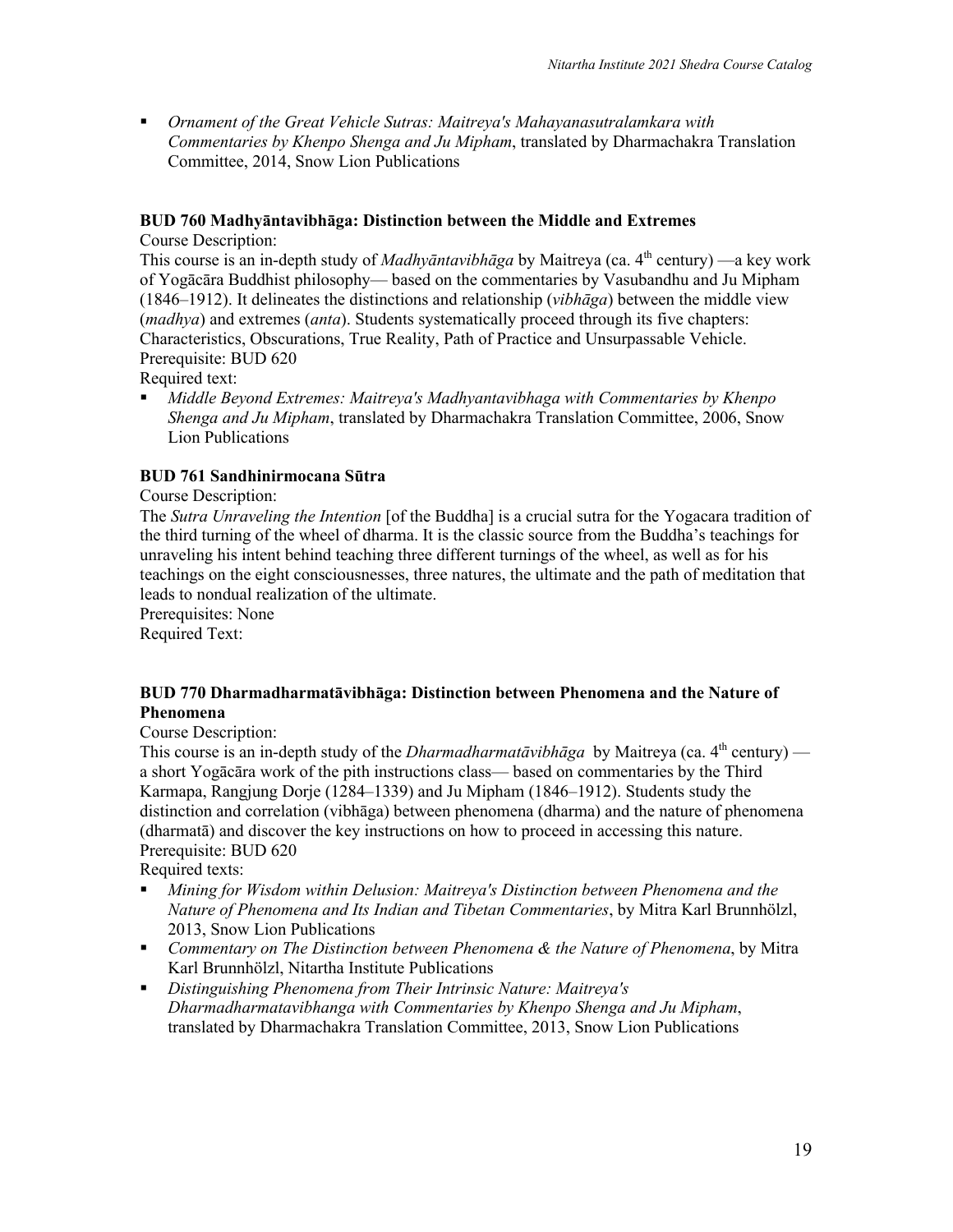§ *Ornament of the Great Vehicle Sutras: Maitreya's Mahayanasutralamkara with Commentaries by Khenpo Shenga and Ju Mipham*, translated by Dharmachakra Translation Committee, 2014, Snow Lion Publications

#### **BUD 760 Madhyāntavibhāga: Distinction between the Middle and Extremes**

Course Description:

This course is an in-depth study of *Madhyāntavibhāga* by Maitreya (ca. 4<sup>th</sup> century) —a key work of Yogācāra Buddhist philosophy— based on the commentaries by Vasubandhu and Ju Mipham (1846–1912). It delineates the distinctions and relationship (*vibhāga*) between the middle view (*madhya*) and extremes (*anta*). Students systematically proceed through its five chapters: Characteristics, Obscurations, True Reality, Path of Practice and Unsurpassable Vehicle. Prerequisite: BUD 620

Required text:

§ *Middle Beyond Extremes: Maitreya's Madhyantavibhaga with Commentaries by Khenpo Shenga and Ju Mipham*, translated by Dharmachakra Translation Committee, 2006, Snow Lion Publications

# **BUD 761 Sandhinirmocana Sūtra**

Course Description:

The *Sutra Unraveling the Intention* [of the Buddha] is a crucial sutra for the Yogacara tradition of the third turning of the wheel of dharma. It is the classic source from the Buddha's teachings for unraveling his intent behind teaching three different turnings of the wheel, as well as for his teachings on the eight consciousnesses, three natures, the ultimate and the path of meditation that leads to nondual realization of the ultimate.

Prerequisites: None

Required Text:

#### **BUD 770 Dharmadharmatāvibhāga: Distinction between Phenomena and the Nature of Phenomena**

Course Description:

This course is an in-depth study of the *Dharmadharmatāvibhāga* by Maitreya (ca.  $4<sup>th</sup>$  century) a short Yogācāra work of the pith instructions class— based on commentaries by the Third Karmapa, Rangjung Dorje (1284–1339) and Ju Mipham (1846–1912). Students study the distinction and correlation (vibhāga) between phenomena (dharma) and the nature of phenomena (dharmatā) and discover the key instructions on how to proceed in accessing this nature. Prerequisite: BUD 620

Required texts:

- § *Mining for Wisdom within Delusion: Maitreya's Distinction between Phenomena and the Nature of Phenomena and Its Indian and Tibetan Commentaries*, by Mitra Karl Brunnhölzl, 2013, Snow Lion Publications
- § *Commentary on The Distinction between Phenomena & the Nature of Phenomena*, by Mitra Karl Brunnhölzl, Nitartha Institute Publications
- § *Distinguishing Phenomena from Their Intrinsic Nature: Maitreya's Dharmadharmatavibhanga with Commentaries by Khenpo Shenga and Ju Mipham*, translated by Dharmachakra Translation Committee, 2013, Snow Lion Publications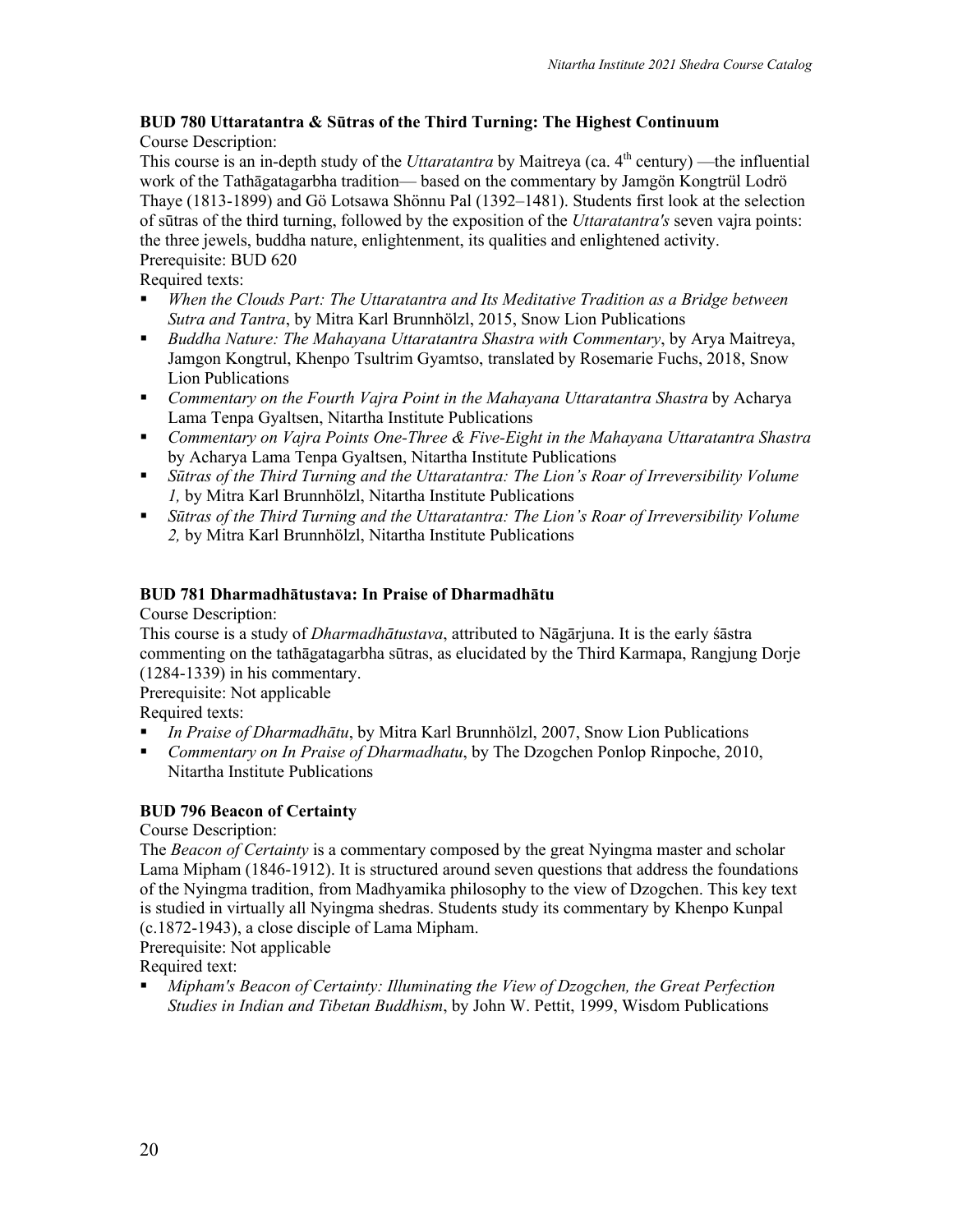#### **BUD 780 Uttaratantra & Sūtras of the Third Turning: The Highest Continuum**  Course Description:

This course is an in-depth study of the *Uttaratantra* by Maitreya (ca. 4<sup>th</sup> century) —the influential work of the Tathāgatagarbha tradition— based on the commentary by Jamgön Kongtrül Lodrö Thaye (1813-1899) and Gö Lotsawa Shönnu Pal (1392–1481). Students first look at the selection of sūtras of the third turning, followed by the exposition of the *Uttaratantra's* seven vajra points: the three jewels, buddha nature, enlightenment, its qualities and enlightened activity. Prerequisite: BUD 620

Required texts:

- § *When the Clouds Part: The Uttaratantra and Its Meditative Tradition as a Bridge between Sutra and Tantra*, by Mitra Karl Brunnhölzl, 2015, Snow Lion Publications
- § *Buddha Nature: The Mahayana Uttaratantra Shastra with Commentary*, by Arya Maitreya, Jamgon Kongtrul, Khenpo Tsultrim Gyamtso, translated by Rosemarie Fuchs, 2018, Snow Lion Publications
- § *Commentary on the Fourth Vajra Point in the Mahayana Uttaratantra Shastra* by Acharya Lama Tenpa Gyaltsen, Nitartha Institute Publications
- § *Commentary on Vajra Points One-Three & Five-Eight in the Mahayana Uttaratantra Shastra* by Acharya Lama Tenpa Gyaltsen, Nitartha Institute Publications
- § *Sūtras of the Third Turning and the Uttaratantra: The Lion's Roar of Irreversibility Volume 1,* by Mitra Karl Brunnhölzl, Nitartha Institute Publications
- § *Sūtras of the Third Turning and the Uttaratantra: The Lion's Roar of Irreversibility Volume 2,* by Mitra Karl Brunnhölzl, Nitartha Institute Publications

# **BUD 781 Dharmadhātustava: In Praise of Dharmadhātu**

Course Description:

This course is a study of *Dharmadhātustava*, attributed to Nāgārjuna. It is the early śāstra commenting on the tathāgatagarbha sūtras, as elucidated by the Third Karmapa, Rangjung Dorje (1284-1339) in his commentary.

Prerequisite: Not applicable

Required texts:

- § *In Praise of Dharmadhātu*, by Mitra Karl Brunnhölzl, 2007, Snow Lion Publications
- § *Commentary on In Praise of Dharmadhatu*, by The Dzogchen Ponlop Rinpoche, 2010, Nitartha Institute Publications

# **BUD 796 Beacon of Certainty**

Course Description:

The *Beacon of Certainty* is a commentary composed by the great Nyingma master and scholar Lama Mipham (1846-1912). It is structured around seven questions that address the foundations of the Nyingma tradition, from Madhyamika philosophy to the view of Dzogchen. This key text is studied in virtually all Nyingma shedras. Students study its commentary by Khenpo Kunpal (c.1872-1943), a close disciple of Lama Mipham.

Prerequisite: Not applicable

Required text:

§ *Mipham's Beacon of Certainty: Illuminating the View of Dzogchen, the Great Perfection Studies in Indian and Tibetan Buddhism*, by John W. Pettit, 1999, Wisdom Publications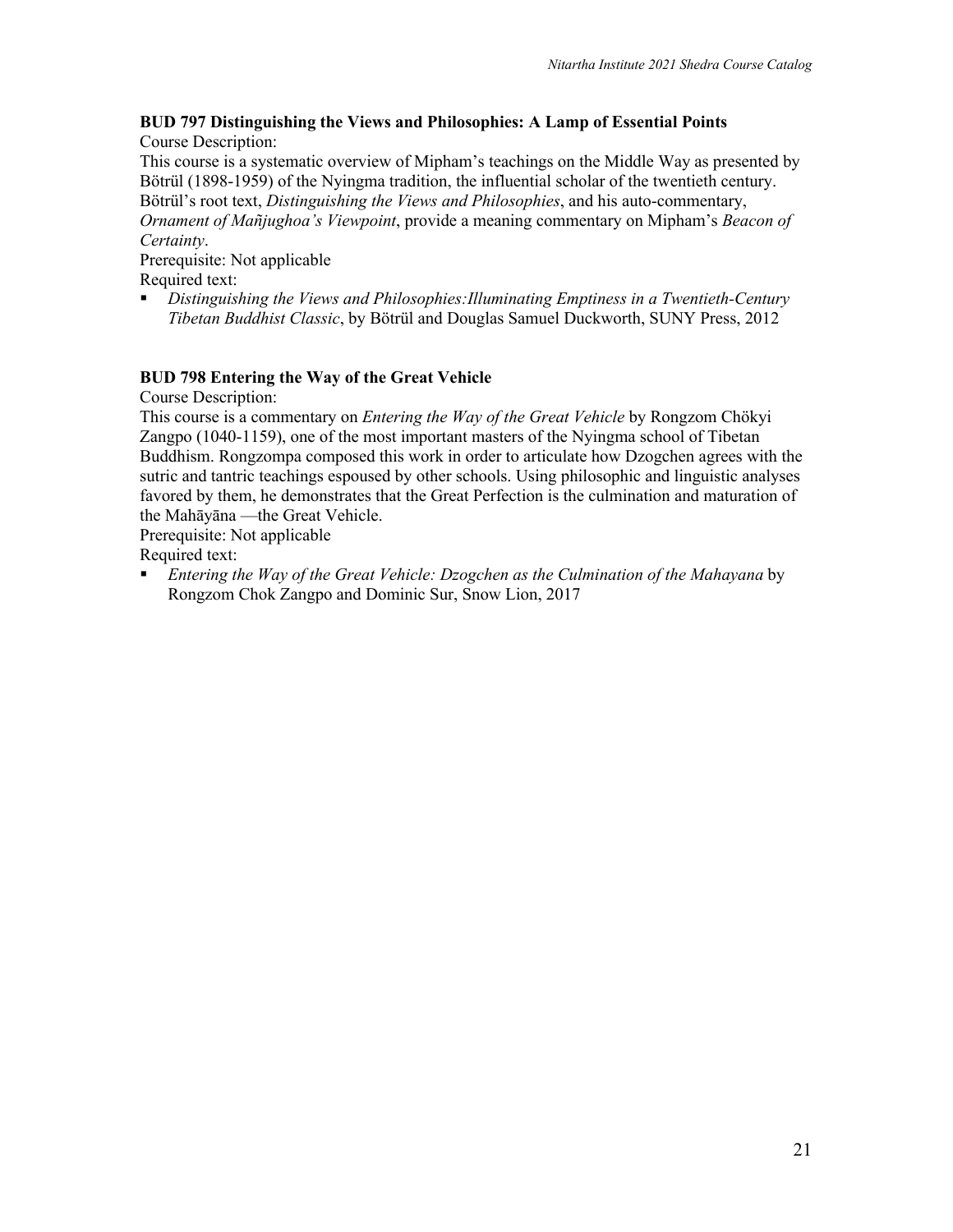#### **BUD 797 Distinguishing the Views and Philosophies: A Lamp of Essential Points** Course Description:

This course is a systematic overview of Mipham's teachings on the Middle Way as presented by Bötrül (1898-1959) of the Nyingma tradition, the influential scholar of the twentieth century. Bötrül's root text, *Distinguishing the Views and Philosophies*, and his auto-commentary, *Ornament of Mañjughoa's Viewpoint*, provide a meaning commentary on Mipham's *Beacon of Certainty*.

# Prerequisite: Not applicable

Required text:

§ *Distinguishing the Views and Philosophies:Illuminating Emptiness in a Twentieth-Century Tibetan Buddhist Classic*, by Bötrül and Douglas Samuel Duckworth, SUNY Press, 2012

# **BUD 798 Entering the Way of the Great Vehicle**

Course Description:

This course is a commentary on *Entering the Way of the Great Vehicle* by Rongzom Chökyi Zangpo (1040-1159), one of the most important masters of the Nyingma school of Tibetan Buddhism. Rongzompa composed this work in order to articulate how Dzogchen agrees with the sutric and tantric teachings espoused by other schools. Using philosophic and linguistic analyses favored by them, he demonstrates that the Great Perfection is the culmination and maturation of the Mahāyāna —the Great Vehicle.

Prerequisite: Not applicable

Required text:

■ *Entering the Way of the Great Vehicle: Dzogchen as the Culmination of the Mahayana* by Rongzom Chok Zangpo and Dominic Sur, Snow Lion, 2017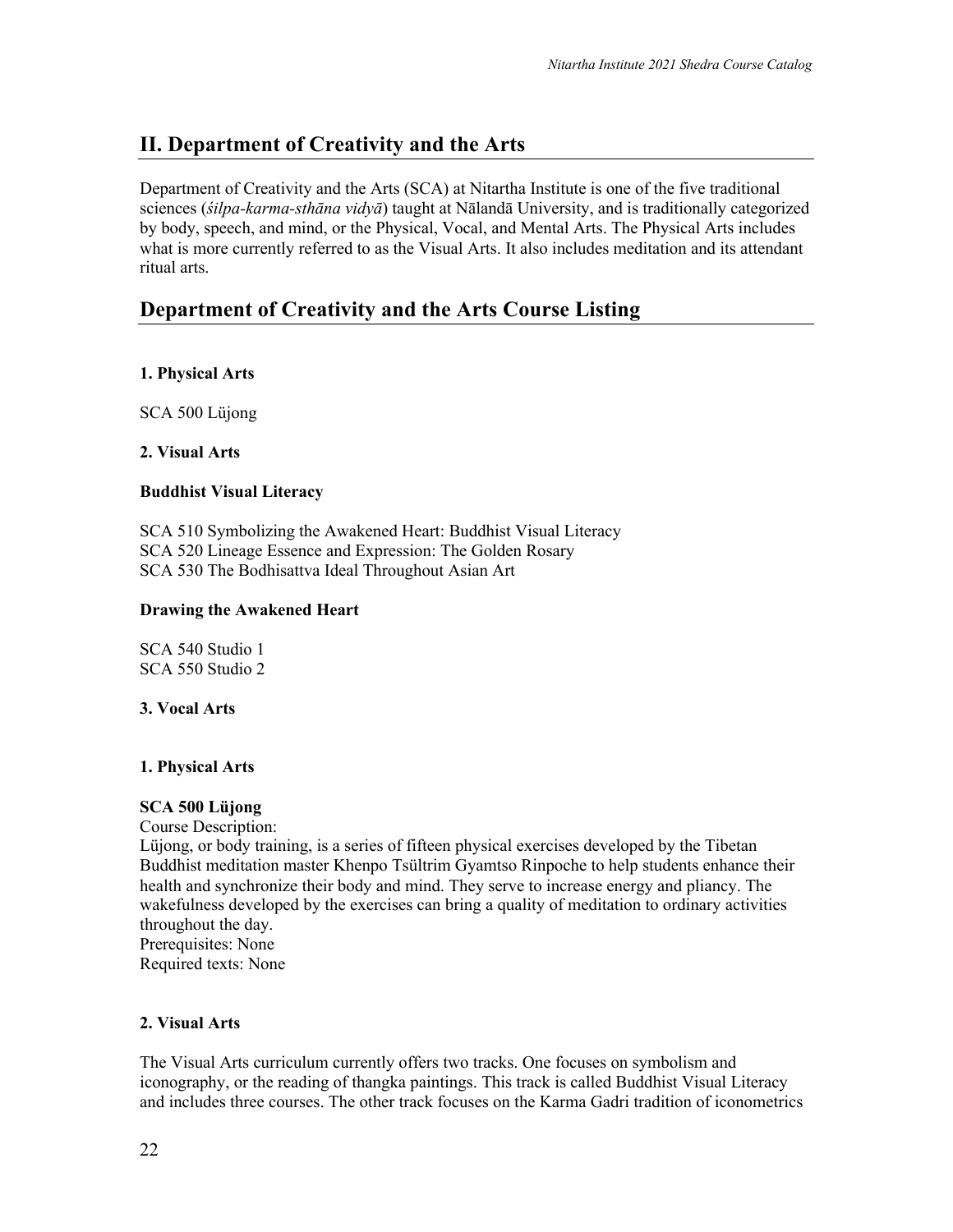# **II. Department of Creativity and the Arts**

Department of Creativity and the Arts (SCA) at Nitartha Institute is one of the five traditional sciences (*śilpa-karma-sthāna vidyā*) taught at Nālandā University, and is traditionally categorized by body, speech, and mind, or the Physical, Vocal, and Mental Arts. The Physical Arts includes what is more currently referred to as the Visual Arts. It also includes meditation and its attendant ritual arts.

# **Department of Creativity and the Arts Course Listing**

# **1. Physical Arts**

SCA 500 Lüjong

#### **2. Visual Arts**

#### **Buddhist Visual Literacy**

SCA 510 Symbolizing the Awakened Heart: Buddhist Visual Literacy SCA 520 Lineage Essence and Expression: The Golden Rosary SCA 530 The Bodhisattva Ideal Throughout Asian Art

#### **Drawing the Awakened Heart**

SCA 540 Studio 1 SCA 550 Studio 2

#### **3. Vocal Arts**

#### **1. Physical Arts**

#### **SCA 500 Lüjong**

Course Description:

Lüjong, or body training, is a series of fifteen physical exercises developed by the Tibetan Buddhist meditation master Khenpo Tsültrim Gyamtso Rinpoche to help students enhance their health and synchronize their body and mind. They serve to increase energy and pliancy. The wakefulness developed by the exercises can bring a quality of meditation to ordinary activities throughout the day. Prerequisites: None

Required texts: None

# **2. Visual Arts**

The Visual Arts curriculum currently offers two tracks. One focuses on symbolism and iconography, or the reading of thangka paintings. This track is called Buddhist Visual Literacy and includes three courses. The other track focuses on the Karma Gadri tradition of iconometrics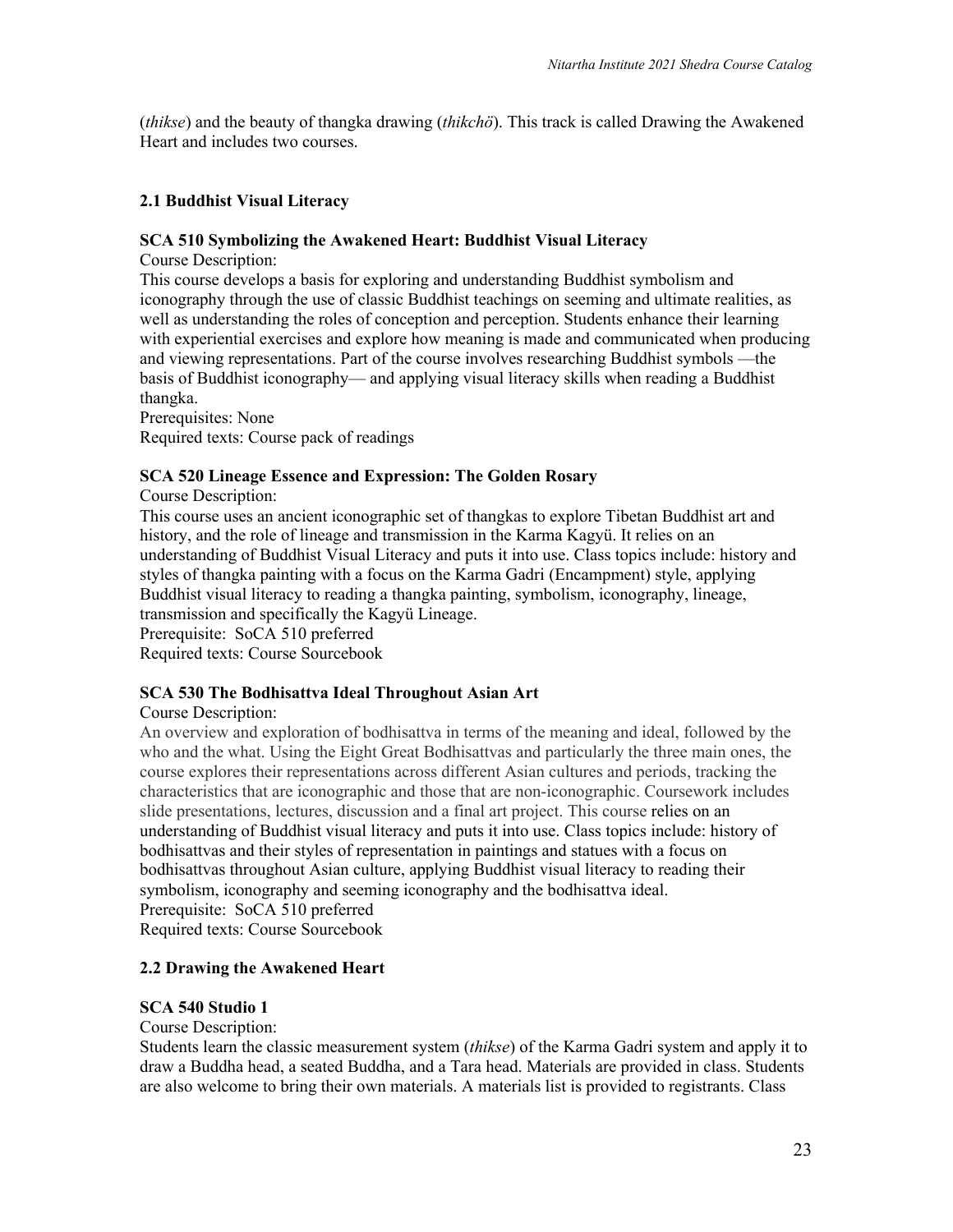(*thikse*) and the beauty of thangka drawing (*thikchö*). This track is called Drawing the Awakened Heart and includes two courses.

#### **2.1 Buddhist Visual Literacy**

#### **SCA 510 Symbolizing the Awakened Heart: Buddhist Visual Literacy**

Course Description:

This course develops a basis for exploring and understanding Buddhist symbolism and iconography through the use of classic Buddhist teachings on seeming and ultimate realities, as well as understanding the roles of conception and perception. Students enhance their learning with experiential exercises and explore how meaning is made and communicated when producing and viewing representations. Part of the course involves researching Buddhist symbols —the basis of Buddhist iconography— and applying visual literacy skills when reading a Buddhist thangka.

Prerequisites: None

Required texts: Course pack of readings

#### **SCA 520 Lineage Essence and Expression: The Golden Rosary**

Course Description:

This course uses an ancient iconographic set of thangkas to explore Tibetan Buddhist art and history, and the role of lineage and transmission in the Karma Kagyü. It relies on an understanding of Buddhist Visual Literacy and puts it into use. Class topics include: history and styles of thangka painting with a focus on the Karma Gadri (Encampment) style, applying Buddhist visual literacy to reading a thangka painting, symbolism, iconography, lineage, transmission and specifically the Kagyü Lineage.

Prerequisite: SoCA 510 preferred

Required texts: Course Sourcebook

#### **SCA 530 The Bodhisattva Ideal Throughout Asian Art**

#### Course Description:

An overview and exploration of bodhisattva in terms of the meaning and ideal, followed by the who and the what. Using the Eight Great Bodhisattvas and particularly the three main ones, the course explores their representations across different Asian cultures and periods, tracking the characteristics that are iconographic and those that are non-iconographic. Coursework includes slide presentations, lectures, discussion and a final art project. This course relies on an understanding of Buddhist visual literacy and puts it into use. Class topics include: history of bodhisattvas and their styles of representation in paintings and statues with a focus on bodhisattvas throughout Asian culture, applying Buddhist visual literacy to reading their symbolism, iconography and seeming iconography and the bodhisattva ideal. Prerequisite: SoCA 510 preferred Required texts: Course Sourcebook

#### **2.2 Drawing the Awakened Heart**

#### **SCA 540 Studio 1**

#### Course Description:

Students learn the classic measurement system (*thikse*) of the Karma Gadri system and apply it to draw a Buddha head, a seated Buddha, and a Tara head. Materials are provided in class. Students are also welcome to bring their own materials. A materials list is provided to registrants. Class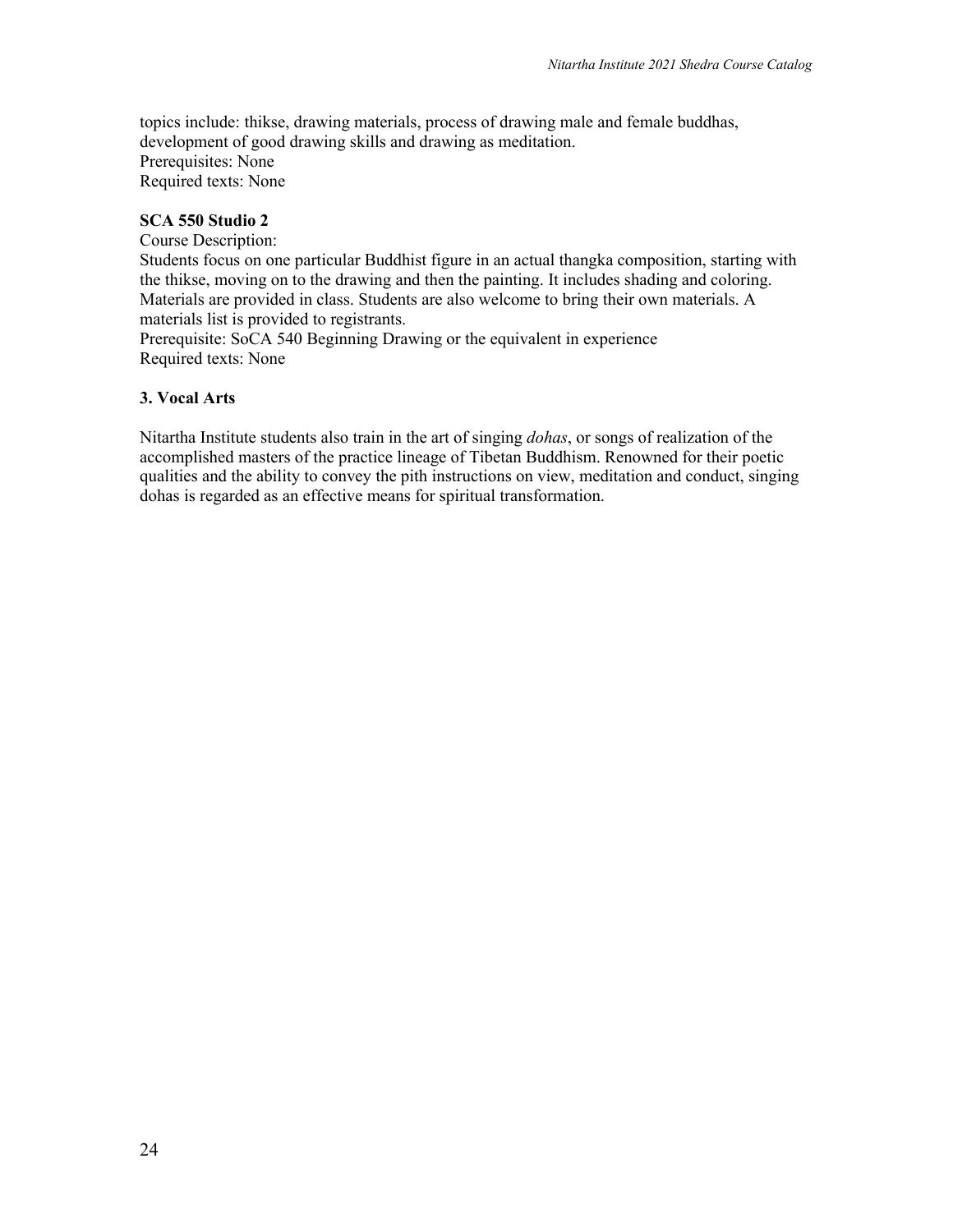topics include: thikse, drawing materials, process of drawing male and female buddhas, development of good drawing skills and drawing as meditation. Prerequisites: None Required texts: None

#### **SCA 550 Studio 2**

Course Description: Students focus on one particular Buddhist figure in an actual thangka composition, starting with the thikse, moving on to the drawing and then the painting. It includes shading and coloring. Materials are provided in class. Students are also welcome to bring their own materials. A materials list is provided to registrants.

Prerequisite: SoCA 540 Beginning Drawing or the equivalent in experience Required texts: None

# **3. Vocal Arts**

Nitartha Institute students also train in the art of singing *dohas*, or songs of realization of the accomplished masters of the practice lineage of Tibetan Buddhism. Renowned for their poetic qualities and the ability to convey the pith instructions on view, meditation and conduct, singing dohas is regarded as an effective means for spiritual transformation.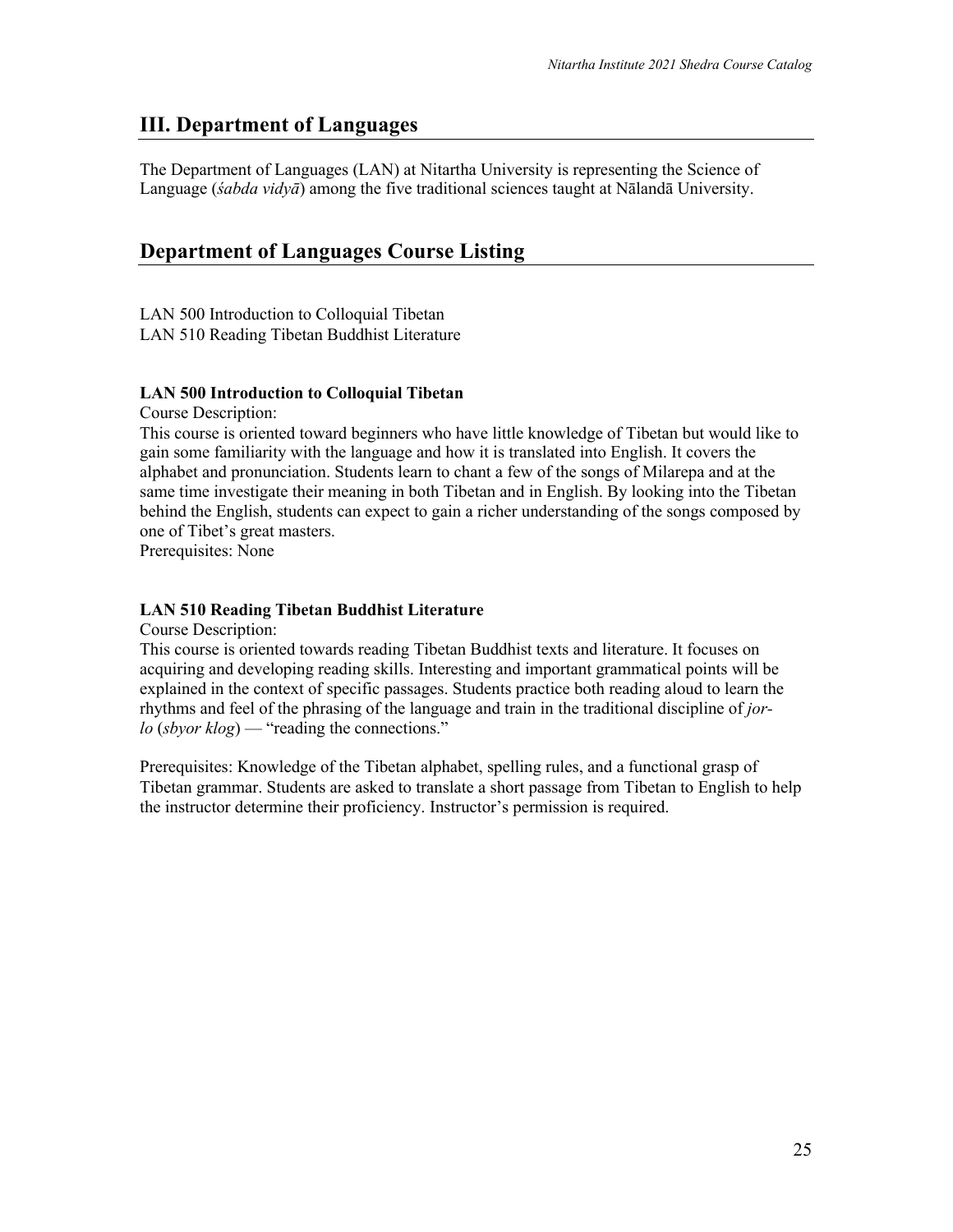# **III. Department of Languages**

The Department of Languages (LAN) at Nitartha University is representing the Science of Language (*śabda vidyā*) among the five traditional sciences taught at Nālandā University.

# **Department of Languages Course Listing**

LAN 500 Introduction to Colloquial Tibetan LAN 510 Reading Tibetan Buddhist Literature

#### **LAN 500 Introduction to Colloquial Tibetan**

Course Description:

This course is oriented toward beginners who have little knowledge of Tibetan but would like to gain some familiarity with the language and how it is translated into English. It covers the alphabet and pronunciation. Students learn to chant a few of the songs of Milarepa and at the same time investigate their meaning in both Tibetan and in English. By looking into the Tibetan behind the English, students can expect to gain a richer understanding of the songs composed by one of Tibet's great masters.

Prerequisites: None

#### **LAN 510 Reading Tibetan Buddhist Literature**

Course Description:

This course is oriented towards reading Tibetan Buddhist texts and literature. It focuses on acquiring and developing reading skills. Interesting and important grammatical points will be explained in the context of specific passages. Students practice both reading aloud to learn the rhythms and feel of the phrasing of the language and train in the traditional discipline of *jorlo* (*sbyor klog*) — "reading the connections."

Prerequisites: Knowledge of the Tibetan alphabet, spelling rules, and a functional grasp of Tibetan grammar. Students are asked to translate a short passage from Tibetan to English to help the instructor determine their proficiency. Instructor's permission is required.